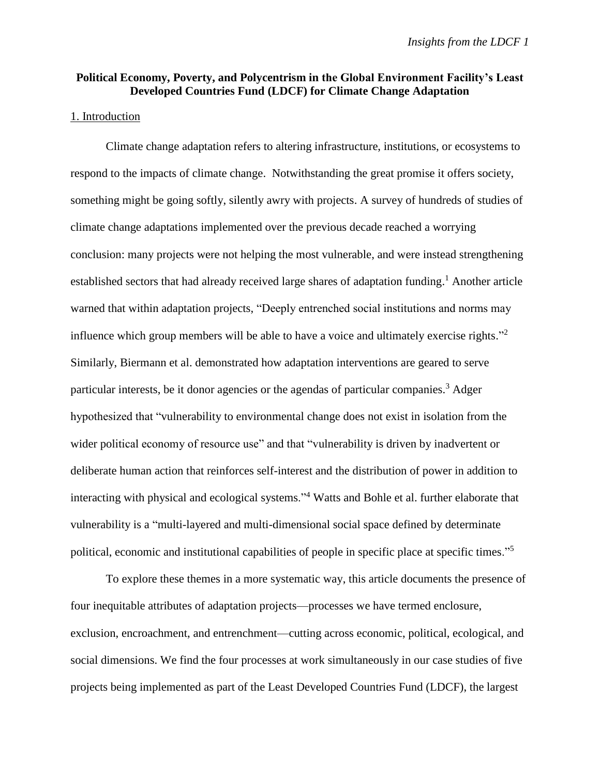# **Political Economy, Poverty, and Polycentrism in the Global Environment Facility's Least Developed Countries Fund (LDCF) for Climate Change Adaptation**

### 1. Introduction

Climate change adaptation refers to altering infrastructure, institutions, or ecosystems to respond to the impacts of climate change. Notwithstanding the great promise it offers society, something might be going softly, silently awry with projects. A survey of hundreds of studies of climate change adaptations implemented over the previous decade reached a worrying conclusion: many projects were not helping the most vulnerable, and were instead strengthening established sectors that had already received large shares of adaptation funding.<sup>1</sup> Another article warned that within adaptation projects, "Deeply entrenched social institutions and norms may influence which group members will be able to have a voice and ultimately exercise rights."<sup>2</sup> Similarly, Biermann et al. demonstrated how adaptation interventions are geared to serve particular interests, be it donor agencies or the agendas of particular companies.<sup>3</sup> Adger hypothesized that "vulnerability to environmental change does not exist in isolation from the wider political economy of resource use" and that "vulnerability is driven by inadvertent or deliberate human action that reinforces self-interest and the distribution of power in addition to interacting with physical and ecological systems."<sup>4</sup> Watts and Bohle et al. further elaborate that vulnerability is a "multi-layered and multi-dimensional social space defined by determinate political, economic and institutional capabilities of people in specific place at specific times."<sup>5</sup>

To explore these themes in a more systematic way, this article documents the presence of four inequitable attributes of adaptation projects—processes we have termed enclosure, exclusion, encroachment, and entrenchment—cutting across economic, political, ecological, and social dimensions. We find the four processes at work simultaneously in our case studies of five projects being implemented as part of the Least Developed Countries Fund (LDCF), the largest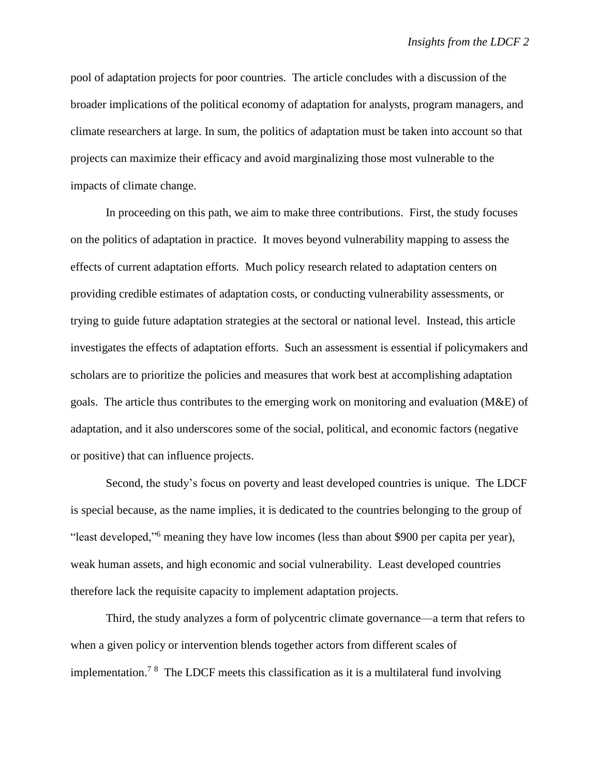pool of adaptation projects for poor countries. The article concludes with a discussion of the broader implications of the political economy of adaptation for analysts, program managers, and climate researchers at large. In sum, the politics of adaptation must be taken into account so that projects can maximize their efficacy and avoid marginalizing those most vulnerable to the impacts of climate change.

In proceeding on this path, we aim to make three contributions. First, the study focuses on the politics of adaptation in practice. It moves beyond vulnerability mapping to assess the effects of current adaptation efforts. Much policy research related to adaptation centers on providing credible estimates of adaptation costs, or conducting vulnerability assessments, or trying to guide future adaptation strategies at the sectoral or national level. Instead, this article investigates the effects of adaptation efforts. Such an assessment is essential if policymakers and scholars are to prioritize the policies and measures that work best at accomplishing adaptation goals. The article thus contributes to the emerging work on monitoring and evaluation (M&E) of adaptation, and it also underscores some of the social, political, and economic factors (negative or positive) that can influence projects.

Second, the study's focus on poverty and least developed countries is unique. The LDCF is special because, as the name implies, it is dedicated to the countries belonging to the group of "least developed,"<sup>6</sup> meaning they have low incomes (less than about \$900 per capita per year), weak human assets, and high economic and social vulnerability. Least developed countries therefore lack the requisite capacity to implement adaptation projects.

Third, the study analyzes a form of polycentric climate governance—a term that refers to when a given policy or intervention blends together actors from different scales of implementation.<sup>78</sup> The LDCF meets this classification as it is a multilateral fund involving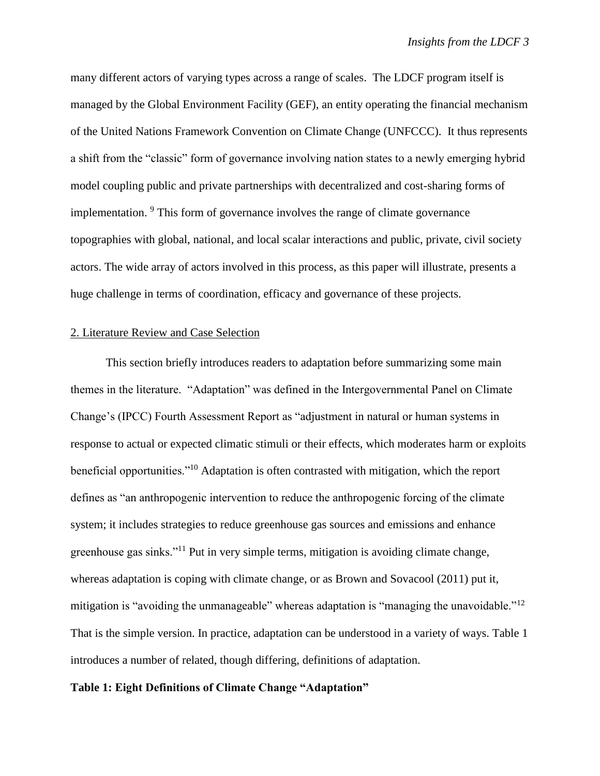many different actors of varying types across a range of scales. The LDCF program itself is managed by the Global Environment Facility (GEF), an entity operating the financial mechanism of the United Nations Framework Convention on Climate Change (UNFCCC). It thus represents a shift from the "classic" form of governance involving nation states to a newly emerging hybrid model coupling public and private partnerships with decentralized and cost-sharing forms of implementation. <sup>9</sup> This form of governance involves the range of climate governance topographies with global, national, and local scalar interactions and public, private, civil society actors. The wide array of actors involved in this process, as this paper will illustrate, presents a huge challenge in terms of coordination, efficacy and governance of these projects.

### 2. Literature Review and Case Selection

This section briefly introduces readers to adaptation before summarizing some main themes in the literature. "Adaptation" was defined in the Intergovernmental Panel on Climate Change's (IPCC) Fourth Assessment Report as "adjustment in natural or human systems in response to actual or expected climatic stimuli or their effects, which moderates harm or exploits beneficial opportunities."<sup>10</sup> Adaptation is often contrasted with mitigation, which the report defines as "an anthropogenic intervention to reduce the anthropogenic forcing of the climate system; it includes strategies to reduce greenhouse gas sources and emissions and enhance greenhouse gas sinks."<sup>11</sup> Put in very simple terms, mitigation is avoiding climate change, whereas adaptation is coping with climate change, or as Brown and Sovacool (2011) put it, mitigation is "avoiding the unmanageable" whereas adaptation is "managing the unavoidable."<sup>12</sup> That is the simple version. In practice, adaptation can be understood in a variety of ways. Table 1 introduces a number of related, though differing, definitions of adaptation.

## **Table 1: Eight Definitions of Climate Change "Adaptation"**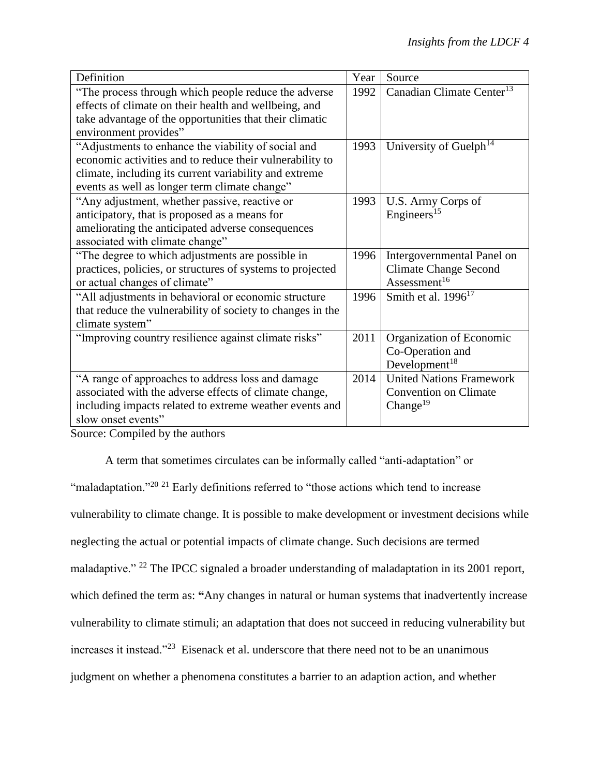| Definition                                                 | Year | Source                                |
|------------------------------------------------------------|------|---------------------------------------|
| "The process through which people reduce the adverse"      | 1992 | Canadian Climate Center <sup>13</sup> |
| effects of climate on their health and wellbeing, and      |      |                                       |
| take advantage of the opportunities that their climatic    |      |                                       |
| environment provides"                                      |      |                                       |
| "Adjustments to enhance the viability of social and        | 1993 | University of Guelph <sup>14</sup>    |
| economic activities and to reduce their vulnerability to   |      |                                       |
| climate, including its current variability and extreme     |      |                                       |
| events as well as longer term climate change"              |      |                                       |
| "Any adjustment, whether passive, reactive or              | 1993 | U.S. Army Corps of                    |
| anticipatory, that is proposed as a means for              |      | Engineers <sup>15</sup>               |
| ameliorating the anticipated adverse consequences          |      |                                       |
| associated with climate change"                            |      |                                       |
| "The degree to which adjustments are possible in           | 1996 | Intergovernmental Panel on            |
| practices, policies, or structures of systems to projected |      | <b>Climate Change Second</b>          |
| or actual changes of climate"                              |      | Assessment <sup>16</sup>              |
| "All adjustments in behavioral or economic structure       | 1996 | Smith et al. $1996^{17}$              |
| that reduce the vulnerability of society to changes in the |      |                                       |
| climate system"                                            |      |                                       |
| "Improving country resilience against climate risks"       | 2011 | Organization of Economic              |
|                                                            |      | Co-Operation and                      |
|                                                            |      | Development $18$                      |
| "A range of approaches to address loss and damage          | 2014 | <b>United Nations Framework</b>       |
| associated with the adverse effects of climate change,     |      | <b>Convention on Climate</b>          |
| including impacts related to extreme weather events and    |      | Change <sup>19</sup>                  |
| slow onset events"                                         |      |                                       |

Source: Compiled by the authors

A term that sometimes circulates can be informally called "anti-adaptation" or "maladaptation."<sup>20 21</sup> Early definitions referred to "those actions which tend to increase vulnerability to climate change. It is possible to make development or investment decisions while neglecting the actual or potential impacts of climate change. Such decisions are termed maladaptive." <sup>22</sup> The IPCC signaled a broader understanding of maladaptation in its 2001 report, which defined the term as: "Any changes in natural or human systems that inadvertently increase vulnerability to climate stimuli; an adaptation that does not succeed in reducing vulnerability but increases it instead."<sup>23</sup> Eisenack et al. underscore that there need not to be an unanimous judgment on whether a phenomena constitutes a barrier to an adaption action, and whether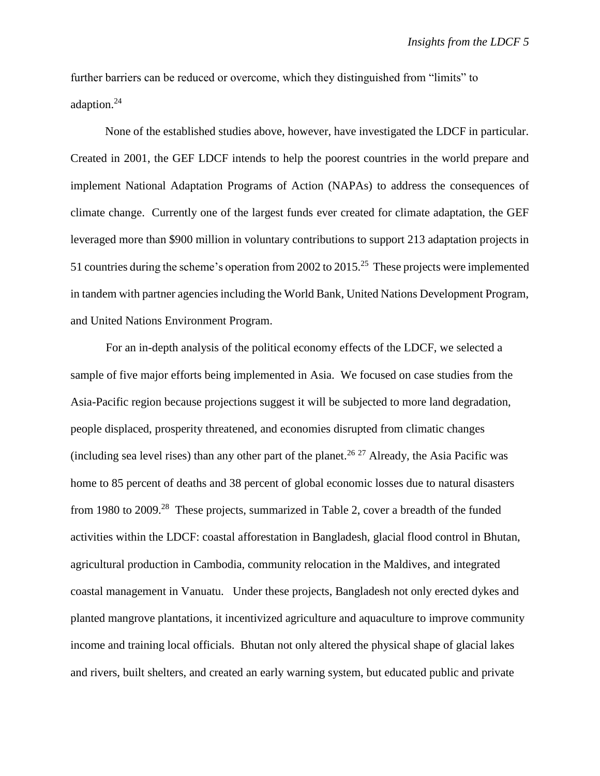further barriers can be reduced or overcome, which they distinguished from "limits" to adaption.<sup>24</sup>

None of the established studies above, however, have investigated the LDCF in particular. Created in 2001, the GEF LDCF intends to help the poorest countries in the world prepare and implement National Adaptation Programs of Action (NAPAs) to address the consequences of climate change. Currently one of the largest funds ever created for climate adaptation, the GEF leveraged more than \$900 million in voluntary contributions to support 213 adaptation projects in 51 countries during the scheme's operation from 2002 to 2015.<sup>25</sup> These projects were implemented in tandem with partner agencies including the World Bank, United Nations Development Program, and United Nations Environment Program.

For an in-depth analysis of the political economy effects of the LDCF, we selected a sample of five major efforts being implemented in Asia. We focused on case studies from the Asia-Pacific region because projections suggest it will be subjected to more land degradation, people displaced, prosperity threatened, and economies disrupted from climatic changes (including sea level rises) than any other part of the planet.<sup>26 27</sup> Already, the Asia Pacific was home to 85 percent of deaths and 38 percent of global economic losses due to natural disasters from 1980 to 2009.<sup>28</sup> These projects, summarized in Table 2, cover a breadth of the funded activities within the LDCF: coastal afforestation in Bangladesh, glacial flood control in Bhutan, agricultural production in Cambodia, community relocation in the Maldives, and integrated coastal management in Vanuatu. Under these projects, Bangladesh not only erected dykes and planted mangrove plantations, it incentivized agriculture and aquaculture to improve community income and training local officials. Bhutan not only altered the physical shape of glacial lakes and rivers, built shelters, and created an early warning system, but educated public and private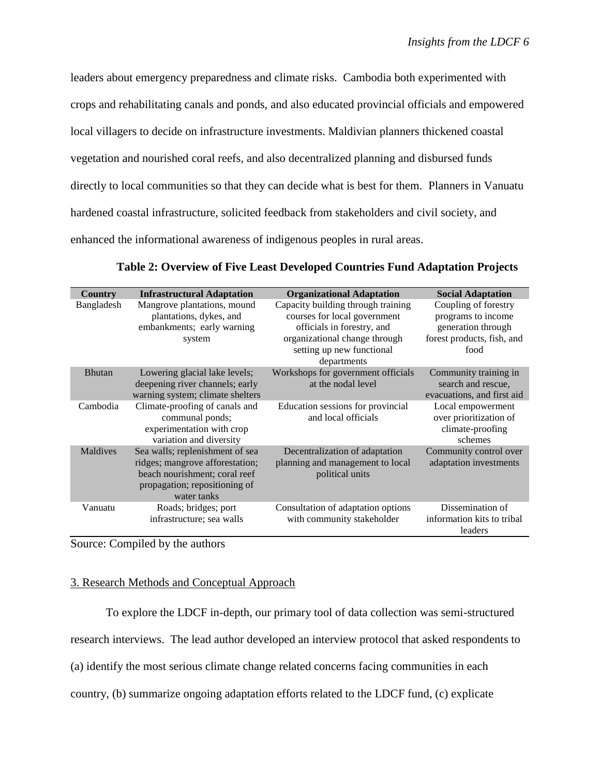leaders about emergency preparedness and climate risks. Cambodia both experimented with crops and rehabilitating canals and ponds, and also educated provincial officials and empowered local villagers to decide on infrastructure investments. Maldivian planners thickened coastal vegetation and nourished coral reefs, and also decentralized planning and disbursed funds directly to local communities so that they can decide what is best for them. Planners in Vanuatu hardened coastal infrastructure, solicited feedback from stakeholders and civil society, and enhanced the informational awareness of indigenous peoples in rural areas.

| Country       | <b>Infrastructural Adaptation</b>                                                                                                                   | <b>Organizational Adaptation</b>                                                                                                                                              | <b>Social Adaptation</b>                                                                               |
|---------------|-----------------------------------------------------------------------------------------------------------------------------------------------------|-------------------------------------------------------------------------------------------------------------------------------------------------------------------------------|--------------------------------------------------------------------------------------------------------|
| Bangladesh    | Mangrove plantations, mound<br>plantations, dykes, and<br>embankments; early warning<br>system                                                      | Capacity building through training<br>courses for local government<br>officials in forestry, and<br>organizational change through<br>setting up new functional<br>departments | Coupling of forestry<br>programs to income<br>generation through<br>forest products, fish, and<br>food |
| <b>Bhutan</b> | Lowering glacial lake levels;<br>deepening river channels; early<br>warning system; climate shelters                                                | Workshops for government officials<br>at the nodal level                                                                                                                      | Community training in<br>search and rescue,<br>evacuations, and first aid                              |
| Cambodia      | Climate-proofing of canals and<br>communal ponds;<br>experimentation with crop<br>variation and diversity                                           | Education sessions for provincial<br>and local officials                                                                                                                      | Local empowerment<br>over prioritization of<br>climate-proofing<br>schemes                             |
| Maldives      | Sea walls; replenishment of sea<br>ridges; mangrove afforestation;<br>beach nourishment; coral reef<br>propagation; repositioning of<br>water tanks | Decentralization of adaptation<br>planning and management to local<br>political units                                                                                         | Community control over<br>adaptation investments                                                       |
| Vanuatu       | Roads; bridges; port<br>infrastructure; sea walls                                                                                                   | Consultation of adaptation options<br>with community stakeholder                                                                                                              | Dissemination of<br>information kits to tribal<br>leaders                                              |

# **Table 2: Overview of Five Least Developed Countries Fund Adaptation Projects**

Source: Compiled by the authors

## 3. Research Methods and Conceptual Approach

To explore the LDCF in-depth, our primary tool of data collection was semi-structured research interviews. The lead author developed an interview protocol that asked respondents to (a) identify the most serious climate change related concerns facing communities in each country, (b) summarize ongoing adaptation efforts related to the LDCF fund, (c) explicate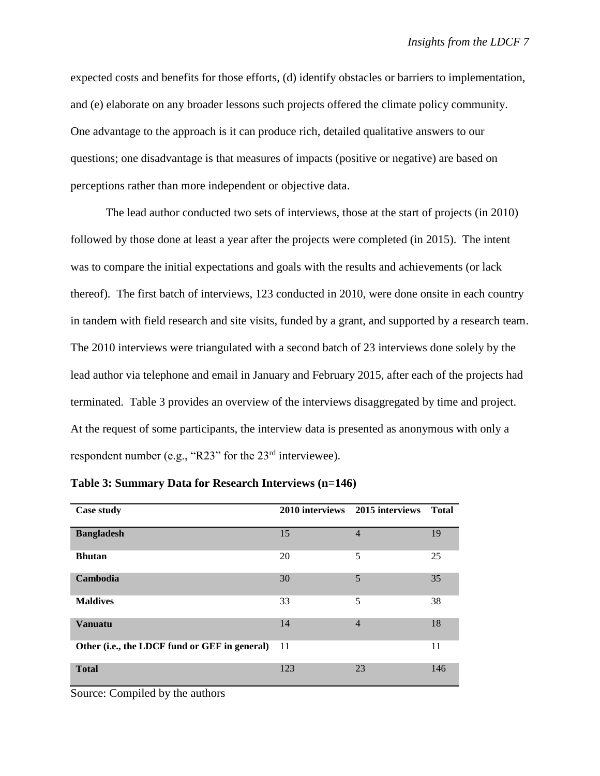expected costs and benefits for those efforts, (d) identify obstacles or barriers to implementation, and (e) elaborate on any broader lessons such projects offered the climate policy community. One advantage to the approach is it can produce rich, detailed qualitative answers to our questions; one disadvantage is that measures of impacts (positive or negative) are based on perceptions rather than more independent or objective data.

The lead author conducted two sets of interviews, those at the start of projects (in 2010) followed by those done at least a year after the projects were completed (in 2015). The intent was to compare the initial expectations and goals with the results and achievements (or lack thereof). The first batch of interviews, 123 conducted in 2010, were done onsite in each country in tandem with field research and site visits, funded by a grant, and supported by a research team. The 2010 interviews were triangulated with a second batch of 23 interviews done solely by the lead author via telephone and email in January and February 2015, after each of the projects had terminated. Table 3 provides an overview of the interviews disaggregated by time and project. At the request of some participants, the interview data is presented as anonymous with only a respondent number (e.g., "R23" for the 23<sup>rd</sup> interviewee).

| <b>Case study</b>                             |     | 2010 interviews 2015 interviews | Total |
|-----------------------------------------------|-----|---------------------------------|-------|
| <b>Bangladesh</b>                             | 15  | $\overline{4}$                  | 19    |
| <b>Bhutan</b>                                 | 20  | 5                               | 25    |
| Cambodia                                      | 30  | 5                               | 35    |
| <b>Maldives</b>                               | 33  | 5                               | 38    |
| <b>Vanuatu</b>                                | 14  | $\overline{4}$                  | 18    |
| Other (i.e., the LDCF fund or GEF in general) | 11  |                                 | 11    |
| <b>Total</b>                                  | 123 | 23                              | 146   |

**Table 3: Summary Data for Research Interviews (n=146)** 

Source: Compiled by the authors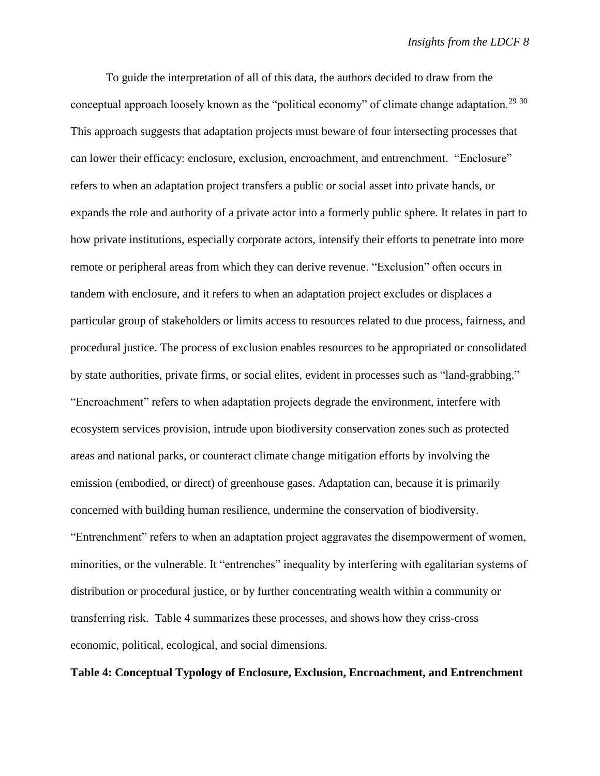To guide the interpretation of all of this data, the authors decided to draw from the conceptual approach loosely known as the "political economy" of climate change adaptation.<sup>29 30</sup> This approach suggests that adaptation projects must beware of four intersecting processes that can lower their efficacy: enclosure, exclusion, encroachment, and entrenchment. "Enclosure" refers to when an adaptation project transfers a public or social asset into private hands, or expands the role and authority of a private actor into a formerly public sphere. It relates in part to how private institutions, especially corporate actors, intensify their efforts to penetrate into more remote or peripheral areas from which they can derive revenue. "Exclusion" often occurs in tandem with enclosure, and it refers to when an adaptation project excludes or displaces a particular group of stakeholders or limits access to resources related to due process, fairness, and procedural justice. The process of exclusion enables resources to be appropriated or consolidated by state authorities, private firms, or social elites, evident in processes such as "land-grabbing." "Encroachment" refers to when adaptation projects degrade the environment, interfere with ecosystem services provision, intrude upon biodiversity conservation zones such as protected areas and national parks, or counteract climate change mitigation efforts by involving the emission (embodied, or direct) of greenhouse gases. Adaptation can, because it is primarily concerned with building human resilience, undermine the conservation of biodiversity. "Entrenchment" refers to when an adaptation project aggravates the disempowerment of women, minorities, or the vulnerable. It "entrenches" inequality by interfering with egalitarian systems of distribution or procedural justice, or by further concentrating wealth within a community or transferring risk. Table 4 summarizes these processes, and shows how they criss-cross economic, political, ecological, and social dimensions.

## **Table 4: Conceptual Typology of Enclosure, Exclusion, Encroachment, and Entrenchment**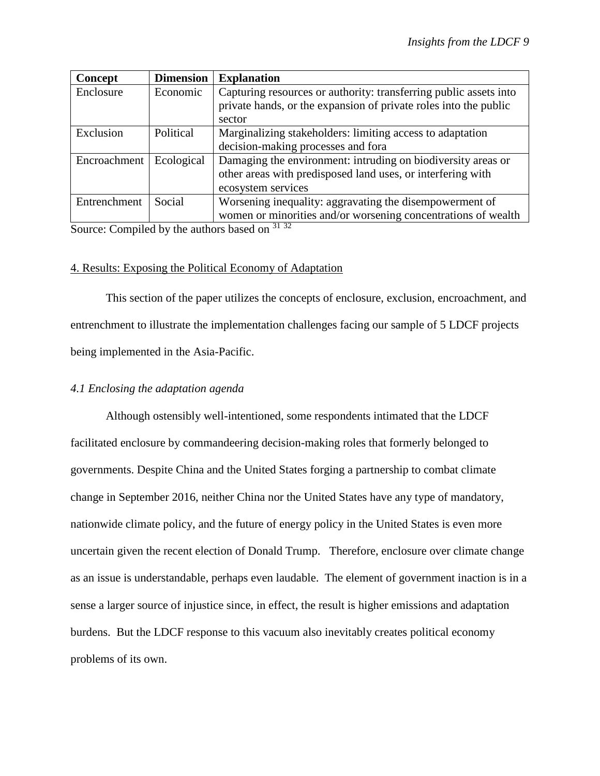| Concept      | <b>Dimension</b> | <b>Explanation</b>                                                |
|--------------|------------------|-------------------------------------------------------------------|
| Enclosure    | Economic         | Capturing resources or authority: transferring public assets into |
|              |                  | private hands, or the expansion of private roles into the public  |
|              |                  | sector                                                            |
| Exclusion    | Political        | Marginalizing stakeholders: limiting access to adaptation         |
|              |                  | decision-making processes and fora                                |
| Encroachment | Ecological       | Damaging the environment: intruding on biodiversity areas or      |
|              |                  | other areas with predisposed land uses, or interfering with       |
|              |                  | ecosystem services                                                |
| Entrenchment | Social           | Worsening inequality: aggravating the disempowerment of           |
|              |                  | women or minorities and/or worsening concentrations of wealth     |

Source: Compiled by the authors based on  $31\,32$ 

## 4. Results: Exposing the Political Economy of Adaptation

This section of the paper utilizes the concepts of enclosure, exclusion, encroachment, and entrenchment to illustrate the implementation challenges facing our sample of 5 LDCF projects being implemented in the Asia-Pacific.

# *4.1 Enclosing the adaptation agenda*

Although ostensibly well-intentioned, some respondents intimated that the LDCF facilitated enclosure by commandeering decision-making roles that formerly belonged to governments. Despite China and the United States forging a partnership to combat climate change in September 2016, neither China nor the United States have any type of mandatory, nationwide climate policy, and the future of energy policy in the United States is even more uncertain given the recent election of Donald Trump. Therefore, enclosure over climate change as an issue is understandable, perhaps even laudable. The element of government inaction is in a sense a larger source of injustice since, in effect, the result is higher emissions and adaptation burdens. But the LDCF response to this vacuum also inevitably creates political economy problems of its own.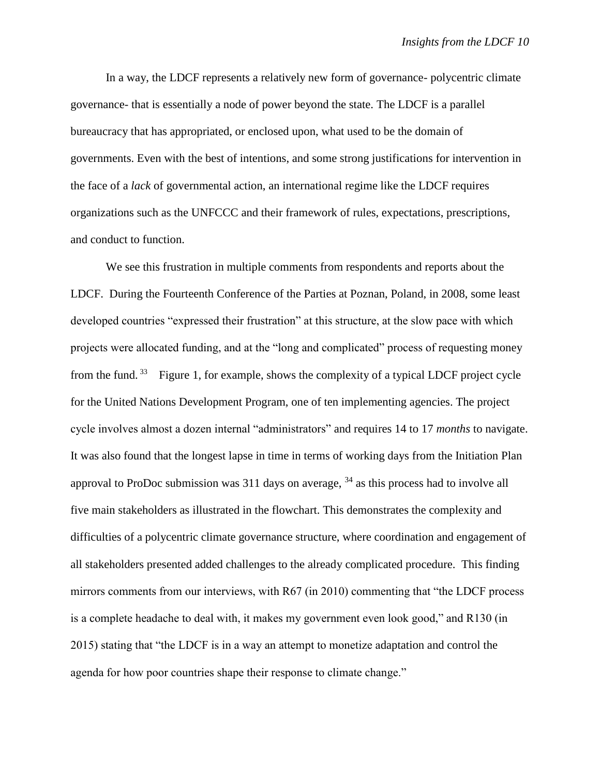In a way, the LDCF represents a relatively new form of governance- polycentric climate governance- that is essentially a node of power beyond the state. The LDCF is a parallel bureaucracy that has appropriated, or enclosed upon, what used to be the domain of governments. Even with the best of intentions, and some strong justifications for intervention in the face of a *lack* of governmental action, an international regime like the LDCF requires organizations such as the UNFCCC and their framework of rules, expectations, prescriptions, and conduct to function.

We see this frustration in multiple comments from respondents and reports about the LDCF. During the Fourteenth Conference of the Parties at Poznan, Poland, in 2008, some least developed countries "expressed their frustration" at this structure, at the slow pace with which projects were allocated funding, and at the "long and complicated" process of requesting money from the fund.<sup>33</sup> Figure 1, for example, shows the complexity of a typical LDCF project cycle for the United Nations Development Program, one of ten implementing agencies. The project cycle involves almost a dozen internal "administrators" and requires 14 to 17 *months* to navigate. It was also found that the longest lapse in time in terms of working days from the Initiation Plan approval to ProDoc submission was  $311$  days on average,  $34$  as this process had to involve all five main stakeholders as illustrated in the flowchart. This demonstrates the complexity and difficulties of a polycentric climate governance structure, where coordination and engagement of all stakeholders presented added challenges to the already complicated procedure. This finding mirrors comments from our interviews, with R67 (in 2010) commenting that "the LDCF process is a complete headache to deal with, it makes my government even look good," and R130 (in 2015) stating that "the LDCF is in a way an attempt to monetize adaptation and control the agenda for how poor countries shape their response to climate change."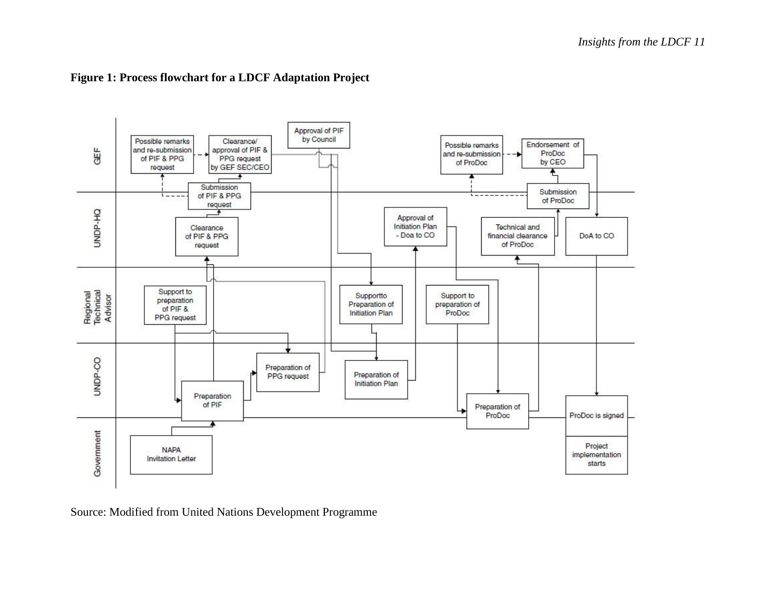

# **Figure 1: Process flowchart for a LDCF Adaptation Project**

Source: Modified from United Nations Development Programme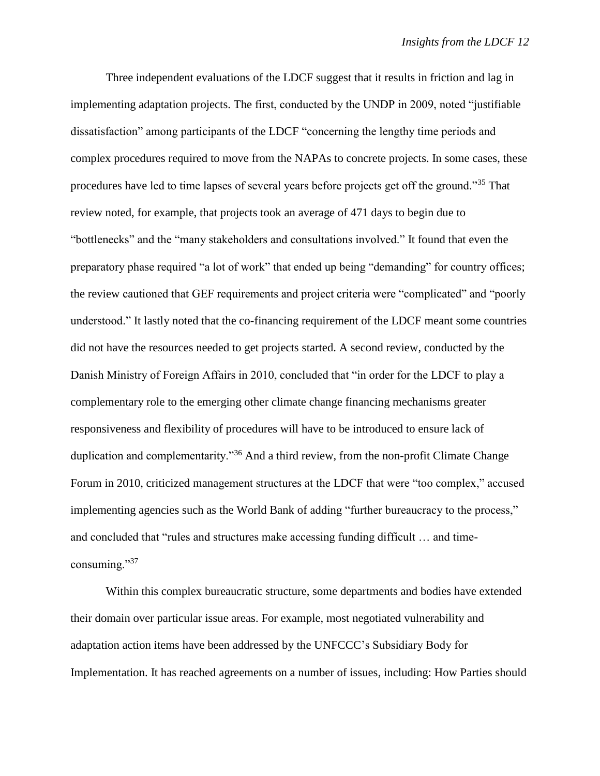Three independent evaluations of the LDCF suggest that it results in friction and lag in implementing adaptation projects. The first, conducted by the UNDP in 2009, noted "justifiable dissatisfaction" among participants of the LDCF "concerning the lengthy time periods and complex procedures required to move from the NAPAs to concrete projects. In some cases, these procedures have led to time lapses of several years before projects get off the ground."<sup>35</sup> That review noted, for example, that projects took an average of 471 days to begin due to "bottlenecks" and the "many stakeholders and consultations involved." It found that even the preparatory phase required "a lot of work" that ended up being "demanding" for country offices; the review cautioned that GEF requirements and project criteria were "complicated" and "poorly understood." It lastly noted that the co-financing requirement of the LDCF meant some countries did not have the resources needed to get projects started. A second review, conducted by the Danish Ministry of Foreign Affairs in 2010, concluded that "in order for the LDCF to play a complementary role to the emerging other climate change financing mechanisms greater responsiveness and flexibility of procedures will have to be introduced to ensure lack of duplication and complementarity."<sup>36</sup> And a third review, from the non-profit Climate Change Forum in 2010, criticized management structures at the LDCF that were "too complex," accused implementing agencies such as the World Bank of adding "further bureaucracy to the process," and concluded that "rules and structures make accessing funding difficult … and timeconsuming."37

Within this complex bureaucratic structure, some departments and bodies have extended their domain over particular issue areas. For example, most negotiated vulnerability and adaptation action items have been addressed by the UNFCCC's Subsidiary Body for Implementation. It has reached agreements on a number of issues, including: How Parties should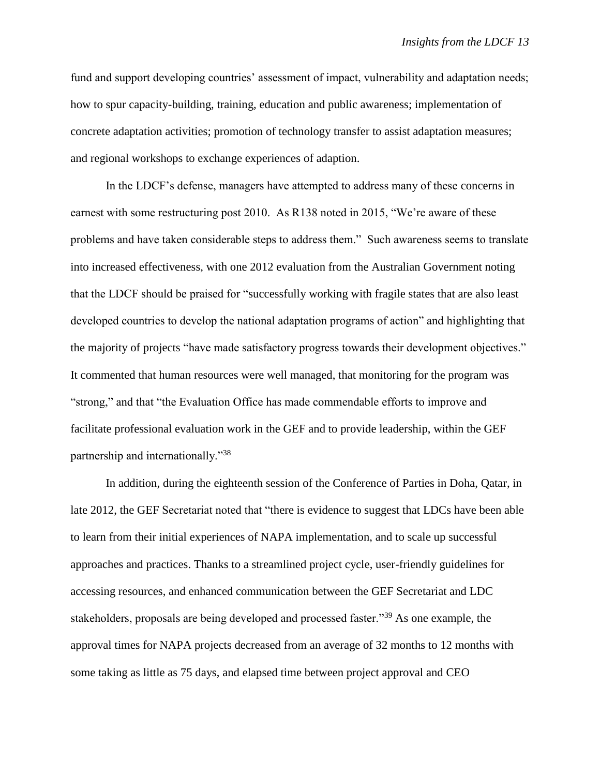fund and support developing countries' assessment of impact, vulnerability and adaptation needs; how to spur capacity-building, training, education and public awareness; implementation of concrete adaptation activities; promotion of technology transfer to assist adaptation measures; and regional workshops to exchange experiences of adaption.

In the LDCF's defense, managers have attempted to address many of these concerns in earnest with some restructuring post 2010. As R138 noted in 2015, "We're aware of these problems and have taken considerable steps to address them." Such awareness seems to translate into increased effectiveness, with one 2012 evaluation from the Australian Government noting that the LDCF should be praised for "successfully working with fragile states that are also least developed countries to develop the national adaptation programs of action" and highlighting that the majority of projects "have made satisfactory progress towards their development objectives." It commented that human resources were well managed, that monitoring for the program was "strong," and that "the Evaluation Office has made commendable efforts to improve and facilitate professional evaluation work in the GEF and to provide leadership, within the GEF partnership and internationally."<sup>38</sup>

In addition, during the eighteenth session of the Conference of Parties in Doha, Qatar, in late 2012, the GEF Secretariat noted that "there is evidence to suggest that LDCs have been able to learn from their initial experiences of NAPA implementation, and to scale up successful approaches and practices. Thanks to a streamlined project cycle, user-friendly guidelines for accessing resources, and enhanced communication between the GEF Secretariat and LDC stakeholders, proposals are being developed and processed faster."<sup>39</sup> As one example, the approval times for NAPA projects decreased from an average of 32 months to 12 months with some taking as little as 75 days, and elapsed time between project approval and CEO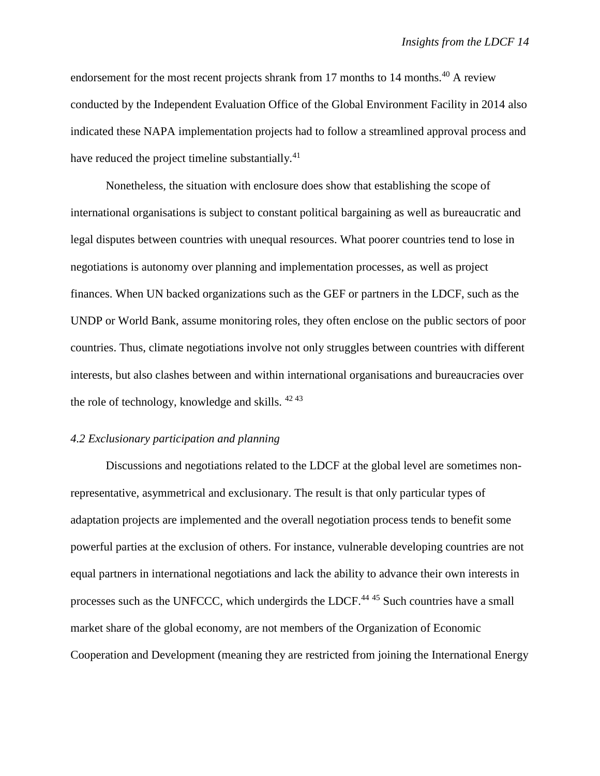endorsement for the most recent projects shrank from 17 months to 14 months.<sup>40</sup> A review conducted by the Independent Evaluation Office of the Global Environment Facility in 2014 also indicated these NAPA implementation projects had to follow a streamlined approval process and have reduced the project timeline substantially.<sup>41</sup>

Nonetheless, the situation with enclosure does show that establishing the scope of international organisations is subject to constant political bargaining as well as bureaucratic and legal disputes between countries with unequal resources. What poorer countries tend to lose in negotiations is autonomy over planning and implementation processes, as well as project finances. When UN backed organizations such as the GEF or partners in the LDCF, such as the UNDP or World Bank, assume monitoring roles, they often enclose on the public sectors of poor countries. Thus, climate negotiations involve not only struggles between countries with different interests, but also clashes between and within international organisations and bureaucracies over the role of technology, knowledge and skills. <sup>42</sup> <sup>43</sup>

### *4.2 Exclusionary participation and planning*

Discussions and negotiations related to the LDCF at the global level are sometimes nonrepresentative, asymmetrical and exclusionary. The result is that only particular types of adaptation projects are implemented and the overall negotiation process tends to benefit some powerful parties at the exclusion of others. For instance, vulnerable developing countries are not equal partners in international negotiations and lack the ability to advance their own interests in processes such as the UNFCCC, which undergirds the LDCF.<sup>44 45</sup> Such countries have a small market share of the global economy, are not members of the Organization of Economic Cooperation and Development (meaning they are restricted from joining the International Energy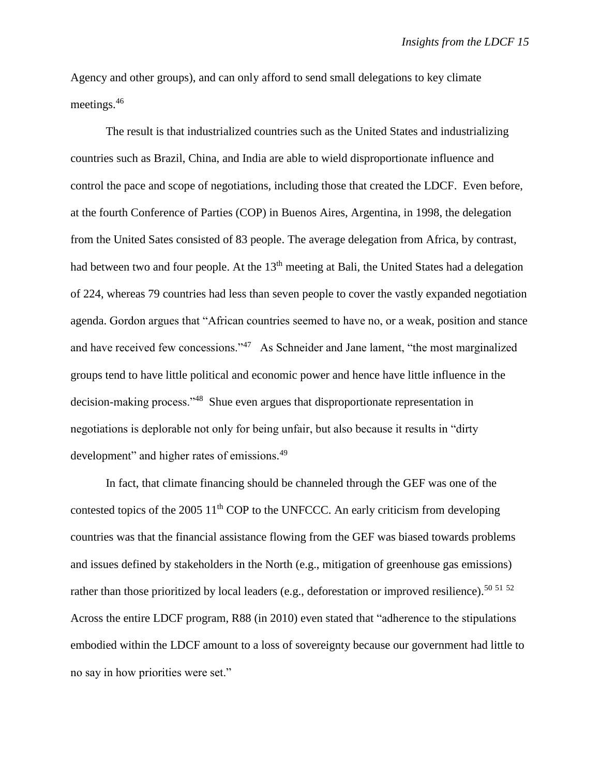Agency and other groups), and can only afford to send small delegations to key climate meetings.<sup>46</sup>

The result is that industrialized countries such as the United States and industrializing countries such as Brazil, China, and India are able to wield disproportionate influence and control the pace and scope of negotiations, including those that created the LDCF. Even before, at the fourth Conference of Parties (COP) in Buenos Aires, Argentina, in 1998, the delegation from the United Sates consisted of 83 people. The average delegation from Africa, by contrast, had between two and four people. At the 13<sup>th</sup> meeting at Bali, the United States had a delegation of 224, whereas 79 countries had less than seven people to cover the vastly expanded negotiation agenda. Gordon argues that "African countries seemed to have no, or a weak, position and stance and have received few concessions."<sup>47</sup> As Schneider and Jane lament, "the most marginalized groups tend to have little political and economic power and hence have little influence in the decision-making process."<sup>48</sup> Shue even argues that disproportionate representation in negotiations is deplorable not only for being unfair, but also because it results in "dirty development" and higher rates of emissions.<sup>49</sup>

In fact, that climate financing should be channeled through the GEF was one of the contested topics of the 2005  $11<sup>th</sup>$  COP to the UNFCCC. An early criticism from developing countries was that the financial assistance flowing from the GEF was biased towards problems and issues defined by stakeholders in the North (e.g., mitigation of greenhouse gas emissions) rather than those prioritized by local leaders (e.g., deforestation or improved resilience).<sup>50 51 52</sup> Across the entire LDCF program, R88 (in 2010) even stated that "adherence to the stipulations embodied within the LDCF amount to a loss of sovereignty because our government had little to no say in how priorities were set."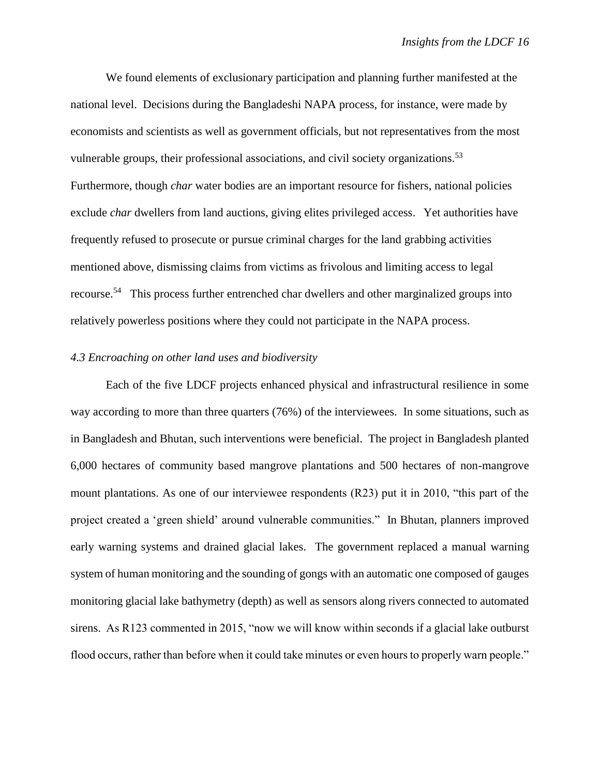We found elements of exclusionary participation and planning further manifested at the national level. Decisions during the Bangladeshi NAPA process, for instance, were made by economists and scientists as well as government officials, but not representatives from the most vulnerable groups, their professional associations, and civil society organizations.<sup>53</sup> Furthermore, though *char* water bodies are an important resource for fishers, national policies exclude *char* dwellers from land auctions, giving elites privileged access. Yet authorities have frequently refused to prosecute or pursue criminal charges for the land grabbing activities mentioned above, dismissing claims from victims as frivolous and limiting access to legal recourse.<sup>54</sup> This process further entrenched char dwellers and other marginalized groups into relatively powerless positions where they could not participate in the NAPA process.

## *4.3 Encroaching on other land uses and biodiversity*

Each of the five LDCF projects enhanced physical and infrastructural resilience in some way according to more than three quarters (76%) of the interviewees. In some situations, such as in Bangladesh and Bhutan, such interventions were beneficial. The project in Bangladesh planted 6,000 hectares of community based mangrove plantations and 500 hectares of non-mangrove mount plantations. As one of our interviewee respondents (R23) put it in 2010, "this part of the project created a 'green shield' around vulnerable communities." In Bhutan, planners improved early warning systems and drained glacial lakes. The government replaced a manual warning system of human monitoring and the sounding of gongs with an automatic one composed of gauges monitoring glacial lake bathymetry (depth) as well as sensors along rivers connected to automated sirens. As R123 commented in 2015, "now we will know within seconds if a glacial lake outburst flood occurs, rather than before when it could take minutes or even hours to properly warn people."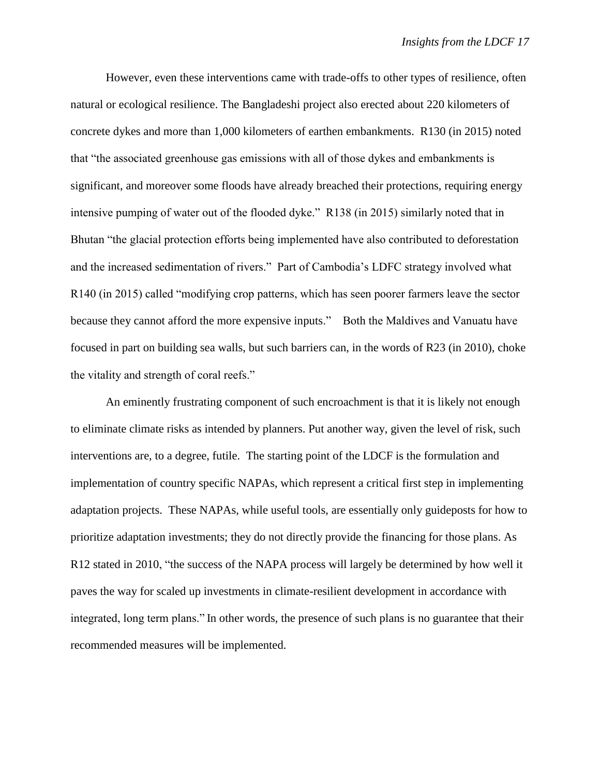However, even these interventions came with trade-offs to other types of resilience, often natural or ecological resilience. The Bangladeshi project also erected about 220 kilometers of concrete dykes and more than 1,000 kilometers of earthen embankments. R130 (in 2015) noted that "the associated greenhouse gas emissions with all of those dykes and embankments is significant, and moreover some floods have already breached their protections, requiring energy intensive pumping of water out of the flooded dyke." R138 (in 2015) similarly noted that in Bhutan "the glacial protection efforts being implemented have also contributed to deforestation and the increased sedimentation of rivers." Part of Cambodia's LDFC strategy involved what R140 (in 2015) called "modifying crop patterns, which has seen poorer farmers leave the sector because they cannot afford the more expensive inputs." Both the Maldives and Vanuatu have focused in part on building sea walls, but such barriers can, in the words of R23 (in 2010), choke the vitality and strength of coral reefs."

An eminently frustrating component of such encroachment is that it is likely not enough to eliminate climate risks as intended by planners. Put another way, given the level of risk, such interventions are, to a degree, futile. The starting point of the LDCF is the formulation and implementation of country specific NAPAs, which represent a critical first step in implementing adaptation projects. These NAPAs, while useful tools, are essentially only guideposts for how to prioritize adaptation investments; they do not directly provide the financing for those plans. As R12 stated in 2010, "the success of the NAPA process will largely be determined by how well it paves the way for scaled up investments in climate-resilient development in accordance with integrated, long term plans." In other words, the presence of such plans is no guarantee that their recommended measures will be implemented.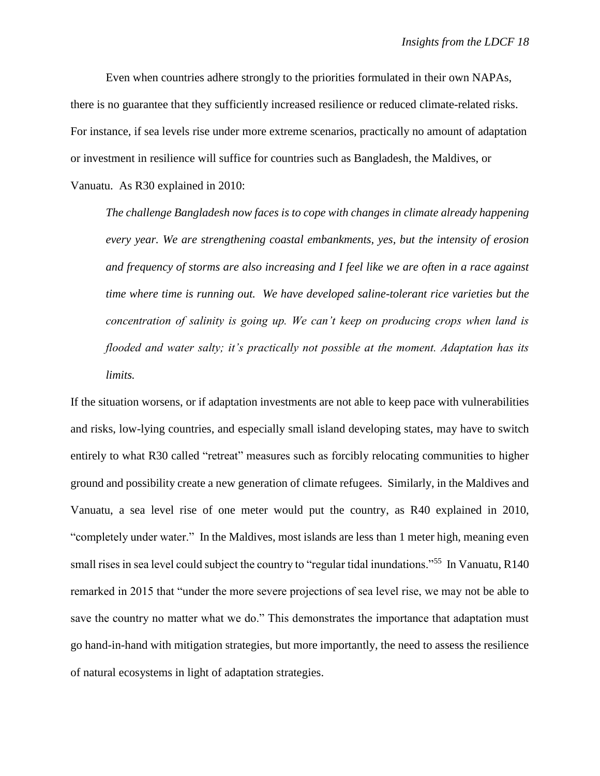Even when countries adhere strongly to the priorities formulated in their own NAPAs, there is no guarantee that they sufficiently increased resilience or reduced climate-related risks. For instance, if sea levels rise under more extreme scenarios, practically no amount of adaptation or investment in resilience will suffice for countries such as Bangladesh, the Maldives, or Vanuatu. As R30 explained in 2010:

*The challenge Bangladesh now faces is to cope with changes in climate already happening every year. We are strengthening coastal embankments, yes, but the intensity of erosion and frequency of storms are also increasing and I feel like we are often in a race against time where time is running out. We have developed saline-tolerant rice varieties but the concentration of salinity is going up. We can't keep on producing crops when land is flooded and water salty; it's practically not possible at the moment. Adaptation has its limits.*

If the situation worsens, or if adaptation investments are not able to keep pace with vulnerabilities and risks, low-lying countries, and especially small island developing states, may have to switch entirely to what R30 called "retreat" measures such as forcibly relocating communities to higher ground and possibility create a new generation of climate refugees. Similarly, in the Maldives and Vanuatu, a sea level rise of one meter would put the country, as R40 explained in 2010, "completely under water." In the Maldives, most islands are less than 1 meter high, meaning even small rises in sea level could subject the country to "regular tidal inundations."<sup>55</sup> In Vanuatu, R140 remarked in 2015 that "under the more severe projections of sea level rise, we may not be able to save the country no matter what we do." This demonstrates the importance that adaptation must go hand-in-hand with mitigation strategies, but more importantly, the need to assess the resilience of natural ecosystems in light of adaptation strategies.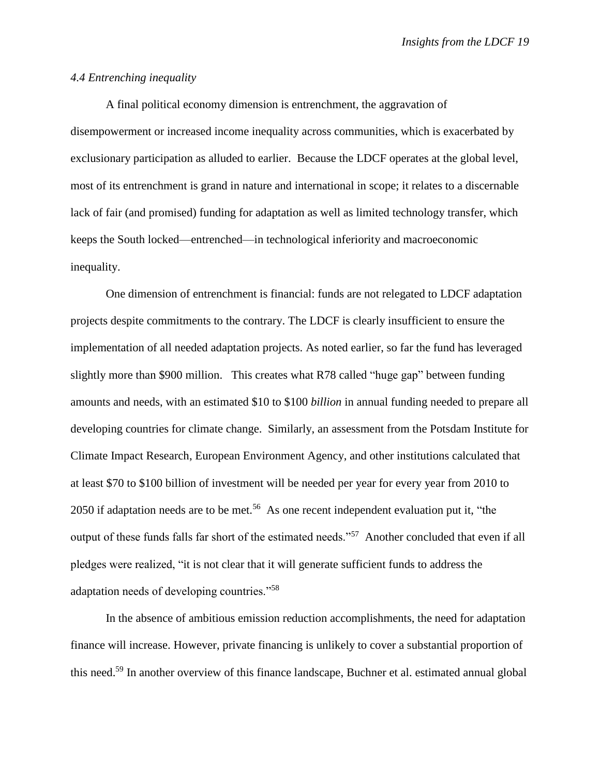## *4.4 Entrenching inequality*

A final political economy dimension is entrenchment, the aggravation of disempowerment or increased income inequality across communities, which is exacerbated by exclusionary participation as alluded to earlier. Because the LDCF operates at the global level, most of its entrenchment is grand in nature and international in scope; it relates to a discernable lack of fair (and promised) funding for adaptation as well as limited technology transfer, which keeps the South locked—entrenched—in technological inferiority and macroeconomic inequality.

One dimension of entrenchment is financial: funds are not relegated to LDCF adaptation projects despite commitments to the contrary. The LDCF is clearly insufficient to ensure the implementation of all needed adaptation projects. As noted earlier, so far the fund has leveraged slightly more than \$900 million. This creates what R78 called "huge gap" between funding amounts and needs, with an estimated \$10 to \$100 *billion* in annual funding needed to prepare all developing countries for climate change. Similarly, an assessment from the Potsdam Institute for Climate Impact Research, European Environment Agency, and other institutions calculated that at least \$70 to \$100 billion of investment will be needed per year for every year from 2010 to 2050 if adaptation needs are to be met.<sup>56</sup> As one recent independent evaluation put it, "the output of these funds falls far short of the estimated needs."<sup>57</sup> Another concluded that even if all pledges were realized, "it is not clear that it will generate sufficient funds to address the adaptation needs of developing countries."<sup>58</sup>

In the absence of ambitious emission reduction accomplishments, the need for adaptation finance will increase. However, private financing is unlikely to cover a substantial proportion of this need.<sup>59</sup> In another overview of this finance landscape, Buchner et al. estimated annual global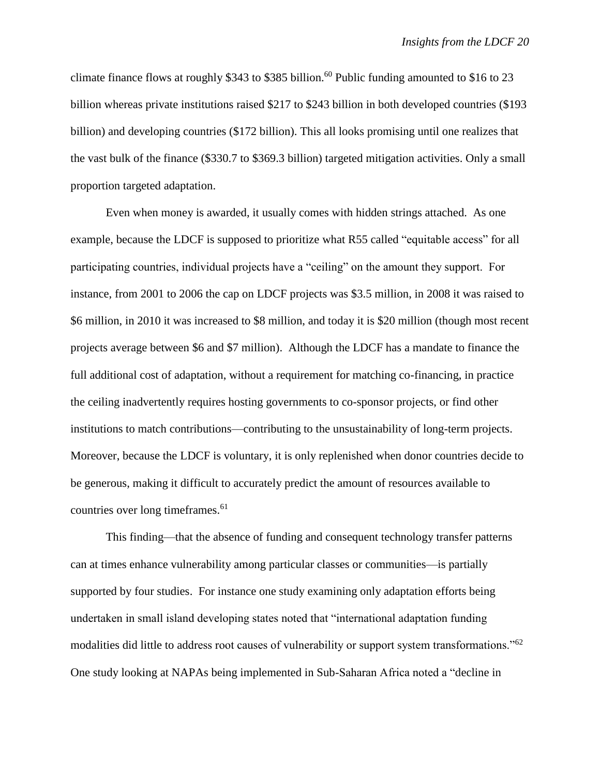climate finance flows at roughly \$343 to \$385 billion.<sup>60</sup> Public funding amounted to \$16 to 23 billion whereas private institutions raised \$217 to \$243 billion in both developed countries (\$193 billion) and developing countries (\$172 billion). This all looks promising until one realizes that the vast bulk of the finance (\$330.7 to \$369.3 billion) targeted mitigation activities. Only a small proportion targeted adaptation.

Even when money is awarded, it usually comes with hidden strings attached. As one example, because the LDCF is supposed to prioritize what R55 called "equitable access" for all participating countries, individual projects have a "ceiling" on the amount they support. For instance, from 2001 to 2006 the cap on LDCF projects was \$3.5 million, in 2008 it was raised to \$6 million, in 2010 it was increased to \$8 million, and today it is \$20 million (though most recent projects average between \$6 and \$7 million). Although the LDCF has a mandate to finance the full additional cost of adaptation, without a requirement for matching co-financing, in practice the ceiling inadvertently requires hosting governments to co-sponsor projects, or find other institutions to match contributions—contributing to the unsustainability of long-term projects. Moreover, because the LDCF is voluntary, it is only replenished when donor countries decide to be generous, making it difficult to accurately predict the amount of resources available to countries over long timeframes.<sup>61</sup>

This finding—that the absence of funding and consequent technology transfer patterns can at times enhance vulnerability among particular classes or communities—is partially supported by four studies. For instance one study examining only adaptation efforts being undertaken in small island developing states noted that "international adaptation funding modalities did little to address root causes of vulnerability or support system transformations."<sup>62</sup> One study looking at NAPAs being implemented in Sub-Saharan Africa noted a "decline in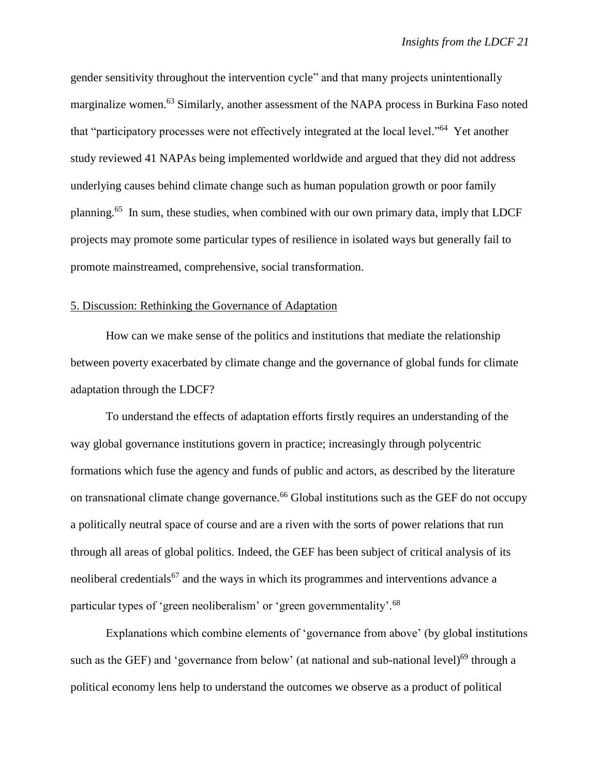gender sensitivity throughout the intervention cycle" and that many projects unintentionally marginalize women.<sup>63</sup> Similarly, another assessment of the NAPA process in Burkina Faso noted that "participatory processes were not effectively integrated at the local level."<sup>64</sup> Yet another study reviewed 41 NAPAs being implemented worldwide and argued that they did not address underlying causes behind climate change such as human population growth or poor family planning.<sup>65</sup> In sum, these studies, when combined with our own primary data, imply that LDCF projects may promote some particular types of resilience in isolated ways but generally fail to promote mainstreamed, comprehensive, social transformation.

#### 5. Discussion: Rethinking the Governance of Adaptation

How can we make sense of the politics and institutions that mediate the relationship between poverty exacerbated by climate change and the governance of global funds for climate adaptation through the LDCF?

To understand the effects of adaptation efforts firstly requires an understanding of the way global governance institutions govern in practice; increasingly through polycentric formations which fuse the agency and funds of public and actors, as described by the literature on transnational climate change governance.<sup>66</sup> Global institutions such as the GEF do not occupy a politically neutral space of course and are a riven with the sorts of power relations that run through all areas of global politics. Indeed, the GEF has been subject of critical analysis of its neoliberal credentials<sup>67</sup> and the ways in which its programmes and interventions advance a particular types of 'green neoliberalism' or 'green governmentality'.<sup>68</sup>

Explanations which combine elements of 'governance from above' (by global institutions such as the GEF) and 'governance from below' (at national and sub-national level)<sup>69</sup> through a political economy lens help to understand the outcomes we observe as a product of political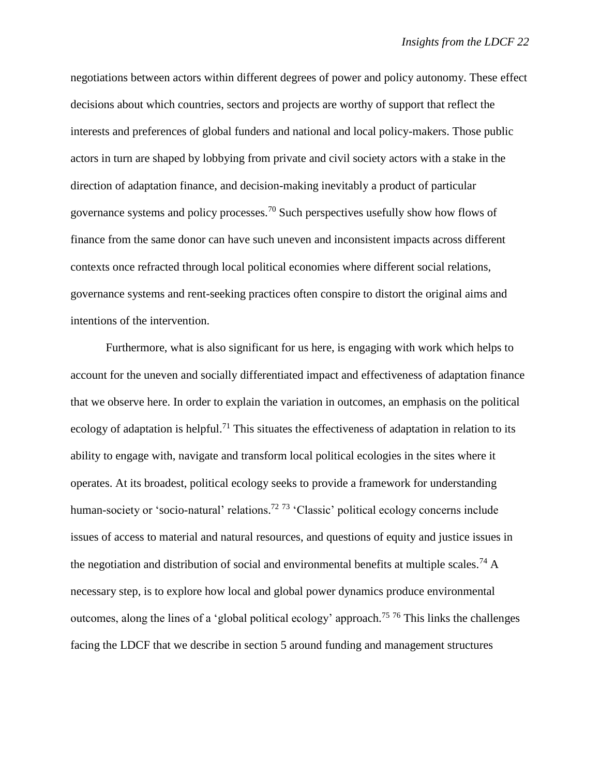negotiations between actors within different degrees of power and policy autonomy. These effect decisions about which countries, sectors and projects are worthy of support that reflect the interests and preferences of global funders and national and local policy-makers. Those public actors in turn are shaped by lobbying from private and civil society actors with a stake in the direction of adaptation finance, and decision-making inevitably a product of particular governance systems and policy processes.<sup>70</sup> Such perspectives usefully show how flows of finance from the same donor can have such uneven and inconsistent impacts across different contexts once refracted through local political economies where different social relations, governance systems and rent-seeking practices often conspire to distort the original aims and intentions of the intervention.

Furthermore, what is also significant for us here, is engaging with work which helps to account for the uneven and socially differentiated impact and effectiveness of adaptation finance that we observe here. In order to explain the variation in outcomes, an emphasis on the political ecology of adaptation is helpful.<sup>71</sup> This situates the effectiveness of adaptation in relation to its ability to engage with, navigate and transform local political ecologies in the sites where it operates. At its broadest, political ecology seeks to provide a framework for understanding human-society or 'socio-natural' relations.<sup>72 73</sup> 'Classic' political ecology concerns include issues of access to material and natural resources, and questions of equity and justice issues in the negotiation and distribution of social and environmental benefits at multiple scales.<sup>74</sup> A necessary step, is to explore how local and global power dynamics produce environmental outcomes, along the lines of a 'global political ecology' approach.<sup>75 76</sup> This links the challenges facing the LDCF that we describe in section 5 around funding and management structures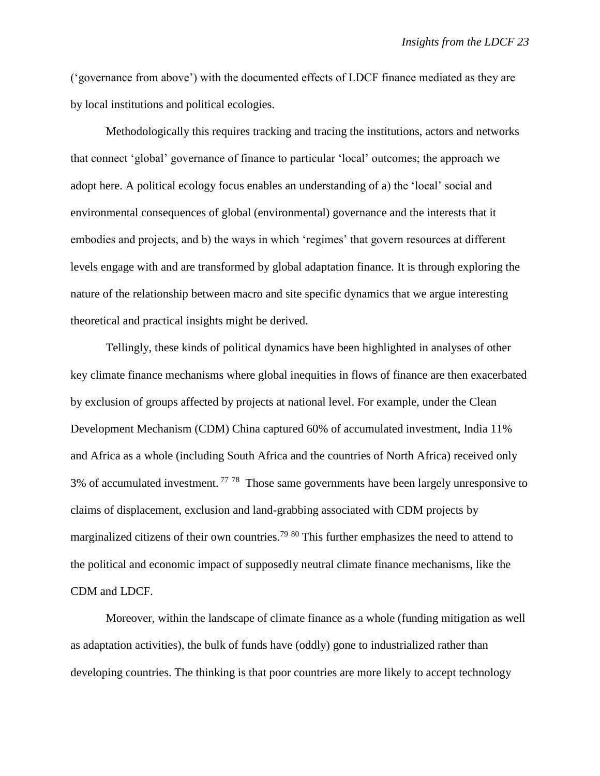('governance from above') with the documented effects of LDCF finance mediated as they are by local institutions and political ecologies.

Methodologically this requires tracking and tracing the institutions, actors and networks that connect 'global' governance of finance to particular 'local' outcomes; the approach we adopt here. A political ecology focus enables an understanding of a) the 'local' social and environmental consequences of global (environmental) governance and the interests that it embodies and projects, and b) the ways in which 'regimes' that govern resources at different levels engage with and are transformed by global adaptation finance. It is through exploring the nature of the relationship between macro and site specific dynamics that we argue interesting theoretical and practical insights might be derived.

Tellingly, these kinds of political dynamics have been highlighted in analyses of other key climate finance mechanisms where global inequities in flows of finance are then exacerbated by exclusion of groups affected by projects at national level. For example, under the Clean Development Mechanism (CDM) China captured 60% of accumulated investment, India 11% and Africa as a whole (including South Africa and the countries of North Africa) received only 3% of accumulated investment.  $7778$  Those same governments have been largely unresponsive to claims of displacement, exclusion and land-grabbing associated with CDM projects by marginalized citizens of their own countries.<sup>79 80</sup> This further emphasizes the need to attend to the political and economic impact of supposedly neutral climate finance mechanisms, like the CDM and LDCF.

Moreover, within the landscape of climate finance as a whole (funding mitigation as well as adaptation activities), the bulk of funds have (oddly) gone to industrialized rather than developing countries. The thinking is that poor countries are more likely to accept technology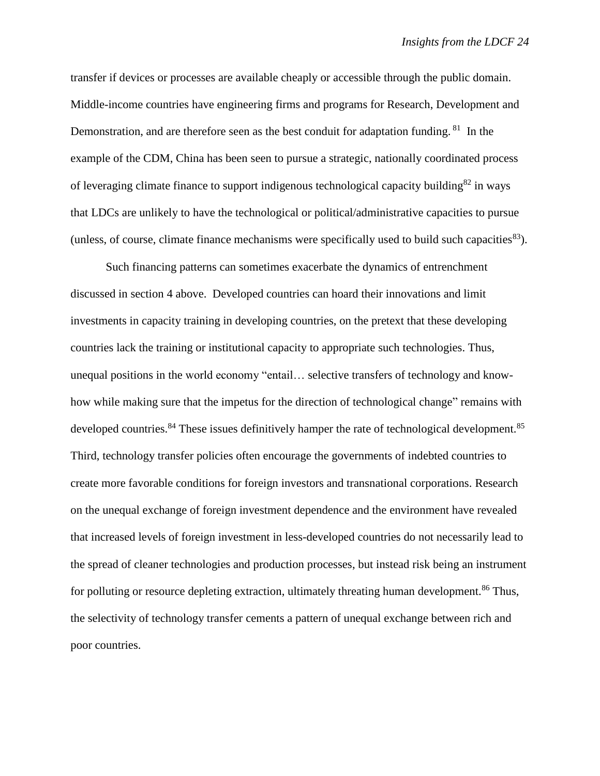transfer if devices or processes are available cheaply or accessible through the public domain. Middle-income countries have engineering firms and programs for Research, Development and Demonstration, and are therefore seen as the best conduit for adaptation funding. <sup>81</sup> In the example of the CDM, China has been seen to pursue a strategic, nationally coordinated process of leveraging climate finance to support indigenous technological capacity building<sup>82</sup> in ways that LDCs are unlikely to have the technological or political/administrative capacities to pursue (unless, of course, climate finance mechanisms were specifically used to build such capacities $83$ ).

Such financing patterns can sometimes exacerbate the dynamics of entrenchment discussed in section 4 above. Developed countries can hoard their innovations and limit investments in capacity training in developing countries, on the pretext that these developing countries lack the training or institutional capacity to appropriate such technologies. Thus, unequal positions in the world economy "entail… selective transfers of technology and knowhow while making sure that the impetus for the direction of technological change" remains with developed countries.<sup>84</sup> These issues definitively hamper the rate of technological development.<sup>85</sup> Third, technology transfer policies often encourage the governments of indebted countries to create more favorable conditions for foreign investors and transnational corporations. Research on the unequal exchange of foreign investment dependence and the environment have revealed that increased levels of foreign investment in less-developed countries do not necessarily lead to the spread of cleaner technologies and production processes, but instead risk being an instrument for polluting or resource depleting extraction, ultimately threating human development.<sup>86</sup> Thus, the selectivity of technology transfer cements a pattern of unequal exchange between rich and poor countries.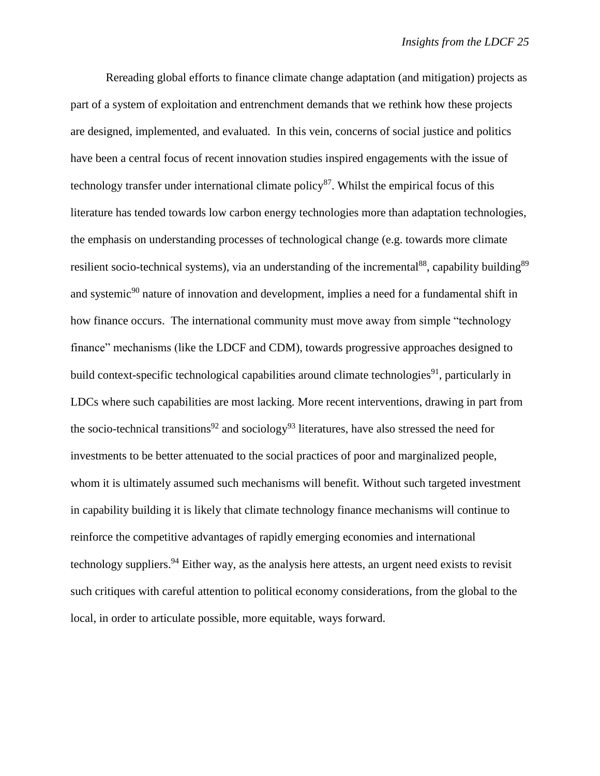Rereading global efforts to finance climate change adaptation (and mitigation) projects as part of a system of exploitation and entrenchment demands that we rethink how these projects are designed, implemented, and evaluated. In this vein, concerns of social justice and politics have been a central focus of recent innovation studies inspired engagements with the issue of technology transfer under international climate policy<sup>87</sup>. Whilst the empirical focus of this literature has tended towards low carbon energy technologies more than adaptation technologies, the emphasis on understanding processes of technological change (e.g. towards more climate resilient socio-technical systems), via an understanding of the incremental<sup>88</sup>, capability building<sup>89</sup> and systemic<sup>90</sup> nature of innovation and development, implies a need for a fundamental shift in how finance occurs. The international community must move away from simple "technology finance" mechanisms (like the LDCF and CDM), towards progressive approaches designed to build context-specific technological capabilities around climate technologies<sup>91</sup>, particularly in LDCs where such capabilities are most lacking. More recent interventions, drawing in part from the socio-technical transitions<sup>92</sup> and sociology<sup>93</sup> literatures, have also stressed the need for investments to be better attenuated to the social practices of poor and marginalized people, whom it is ultimately assumed such mechanisms will benefit. Without such targeted investment in capability building it is likely that climate technology finance mechanisms will continue to reinforce the competitive advantages of rapidly emerging economies and international technology suppliers.<sup>94</sup> Either way, as the analysis here attests, an urgent need exists to revisit such critiques with careful attention to political economy considerations, from the global to the local, in order to articulate possible, more equitable, ways forward.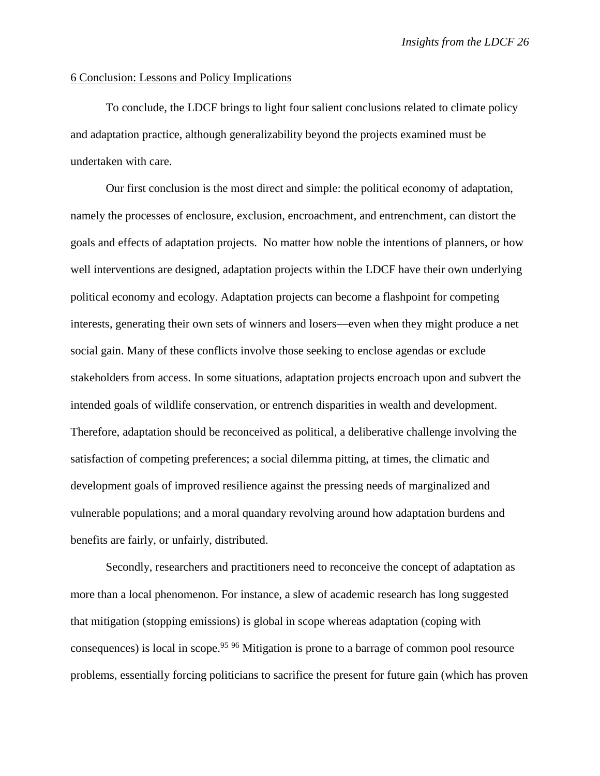### 6 Conclusion: Lessons and Policy Implications

To conclude, the LDCF brings to light four salient conclusions related to climate policy and adaptation practice, although generalizability beyond the projects examined must be undertaken with care.

Our first conclusion is the most direct and simple: the political economy of adaptation, namely the processes of enclosure, exclusion, encroachment, and entrenchment, can distort the goals and effects of adaptation projects. No matter how noble the intentions of planners, or how well interventions are designed, adaptation projects within the LDCF have their own underlying political economy and ecology. Adaptation projects can become a flashpoint for competing interests, generating their own sets of winners and losers—even when they might produce a net social gain. Many of these conflicts involve those seeking to enclose agendas or exclude stakeholders from access. In some situations, adaptation projects encroach upon and subvert the intended goals of wildlife conservation, or entrench disparities in wealth and development. Therefore, adaptation should be reconceived as political, a deliberative challenge involving the satisfaction of competing preferences; a social dilemma pitting, at times, the climatic and development goals of improved resilience against the pressing needs of marginalized and vulnerable populations; and a moral quandary revolving around how adaptation burdens and benefits are fairly, or unfairly, distributed.

Secondly, researchers and practitioners need to reconceive the concept of adaptation as more than a local phenomenon. For instance, a slew of academic research has long suggested that mitigation (stopping emissions) is global in scope whereas adaptation (coping with consequences) is local in scope.<sup>95 96</sup> Mitigation is prone to a barrage of common pool resource problems, essentially forcing politicians to sacrifice the present for future gain (which has proven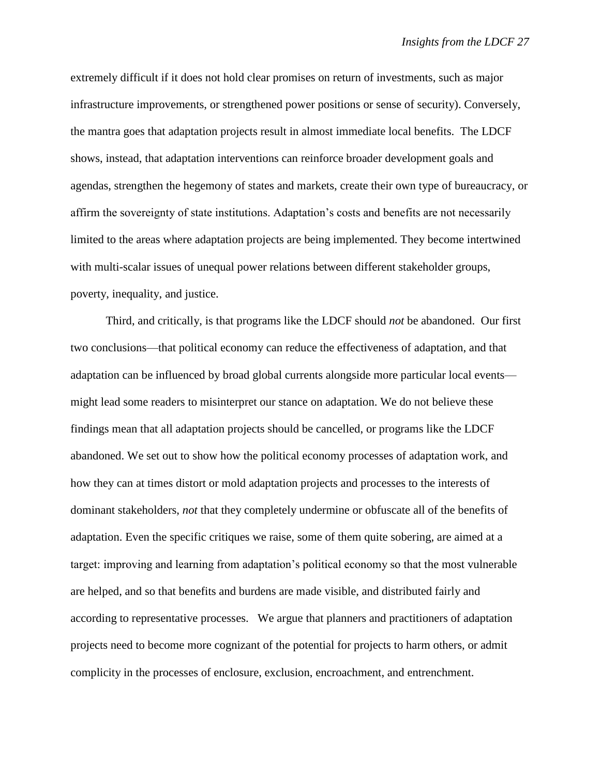extremely difficult if it does not hold clear promises on return of investments, such as major infrastructure improvements, or strengthened power positions or sense of security). Conversely, the mantra goes that adaptation projects result in almost immediate local benefits. The LDCF shows, instead, that adaptation interventions can reinforce broader development goals and agendas, strengthen the hegemony of states and markets, create their own type of bureaucracy, or affirm the sovereignty of state institutions. Adaptation's costs and benefits are not necessarily limited to the areas where adaptation projects are being implemented. They become intertwined with multi-scalar issues of unequal power relations between different stakeholder groups, poverty, inequality, and justice.

Third, and critically, is that programs like the LDCF should *not* be abandoned. Our first two conclusions—that political economy can reduce the effectiveness of adaptation, and that adaptation can be influenced by broad global currents alongside more particular local events might lead some readers to misinterpret our stance on adaptation. We do not believe these findings mean that all adaptation projects should be cancelled, or programs like the LDCF abandoned. We set out to show how the political economy processes of adaptation work, and how they can at times distort or mold adaptation projects and processes to the interests of dominant stakeholders, *not* that they completely undermine or obfuscate all of the benefits of adaptation. Even the specific critiques we raise, some of them quite sobering, are aimed at a target: improving and learning from adaptation's political economy so that the most vulnerable are helped, and so that benefits and burdens are made visible, and distributed fairly and according to representative processes. We argue that planners and practitioners of adaptation projects need to become more cognizant of the potential for projects to harm others, or admit complicity in the processes of enclosure, exclusion, encroachment, and entrenchment.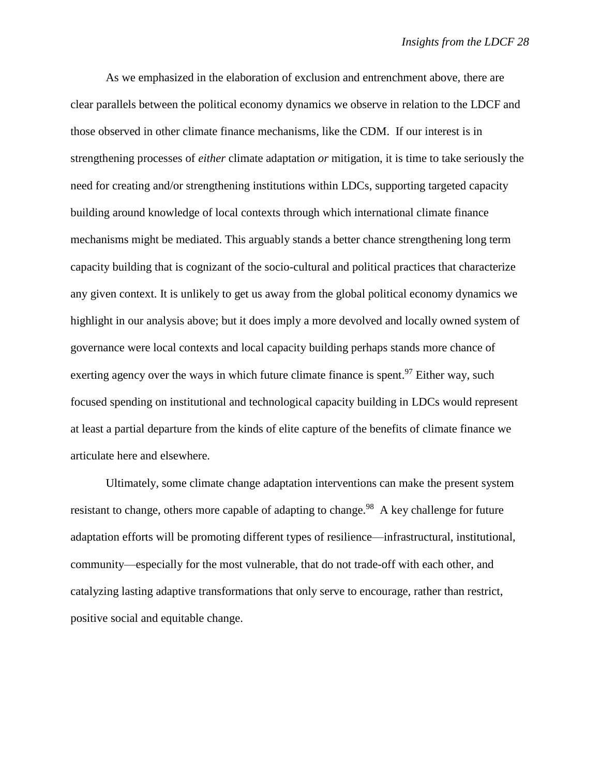As we emphasized in the elaboration of exclusion and entrenchment above, there are clear parallels between the political economy dynamics we observe in relation to the LDCF and those observed in other climate finance mechanisms, like the CDM. If our interest is in strengthening processes of *either* climate adaptation *or* mitigation, it is time to take seriously the need for creating and/or strengthening institutions within LDCs, supporting targeted capacity building around knowledge of local contexts through which international climate finance mechanisms might be mediated. This arguably stands a better chance strengthening long term capacity building that is cognizant of the socio-cultural and political practices that characterize any given context. It is unlikely to get us away from the global political economy dynamics we highlight in our analysis above; but it does imply a more devolved and locally owned system of governance were local contexts and local capacity building perhaps stands more chance of exerting agency over the ways in which future climate finance is spent.<sup>97</sup> Either way, such focused spending on institutional and technological capacity building in LDCs would represent at least a partial departure from the kinds of elite capture of the benefits of climate finance we articulate here and elsewhere.

Ultimately, some climate change adaptation interventions can make the present system resistant to change, others more capable of adapting to change.<sup>98</sup> A key challenge for future adaptation efforts will be promoting different types of resilience—infrastructural, institutional, community—especially for the most vulnerable, that do not trade-off with each other, and catalyzing lasting adaptive transformations that only serve to encourage, rather than restrict, positive social and equitable change.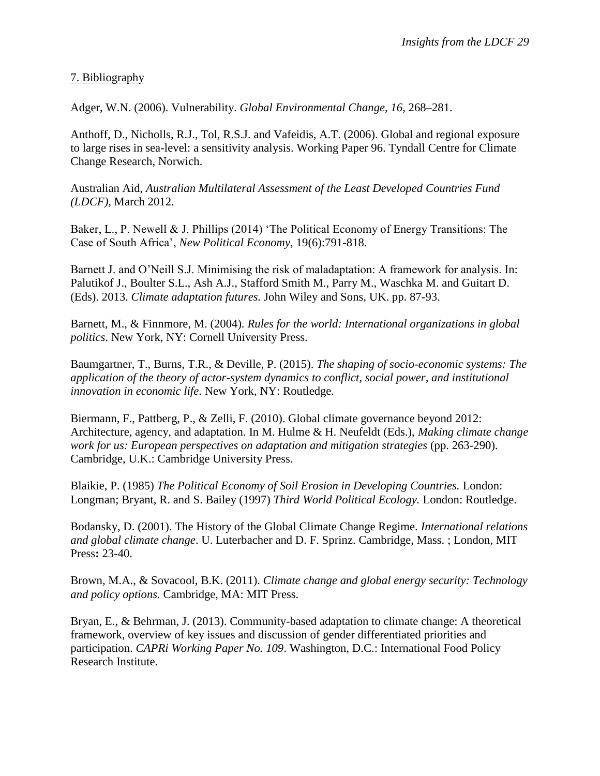7. Bibliography

Adger, W.N. (2006). Vulnerability. *Global Environmental Change, 16*, 268–281.

Anthoff, D., Nicholls, R.J., Tol, R.S.J. and Vafeidis, A.T. (2006). Global and regional exposure to large rises in sea-level: a sensitivity analysis. Working Paper 96. Tyndall Centre for Climate Change Research, Norwich.

Australian Aid, *Australian Multilateral Assessment of the Least Developed Countries Fund (LDCF)*, March 2012.

Baker, L., P. Newell & J. Phillips (2014) 'The Political Economy of Energy Transitions: The Case of South Africa', *New Political Economy*, 19(6):791-818.

Barnett J. and O'Neill S.J. Minimising the risk of maladaptation: A framework for analysis. In: Palutikof J., Boulter S.L., Ash A.J., Stafford Smith M., Parry M., Waschka M. and Guitart D. (Eds). 2013. *Climate adaptation futures.* John Wiley and Sons, UK. pp. 87-93.

Barnett, M., & Finnmore, M. (2004). *Rules for the world: International organizations in global politics*. New York, NY: Cornell University Press.

Baumgartner, T., Burns, T.R., & Deville, P. (2015). *The shaping of socio-economic systems: The application of the theory of actor-system dynamics to conflict, social power, and institutional innovation in economic life*. New York, NY: Routledge.

Biermann, F., Pattberg, P., & Zelli, F. (2010). Global climate governance beyond 2012: Architecture, agency, and adaptation. In M. Hulme & H. Neufeldt (Eds.), *Making climate change work for us: European perspectives on adaptation and mitigation strategies (pp. 263-290).* Cambridge, U.K.: Cambridge University Press.

Blaikie, P. (1985) *The Political Economy of Soil Erosion in Developing Countries.* London: Longman; Bryant, R. and S. Bailey (1997) *Third World Political Ecology.* London: Routledge.

Bodansky, D. (2001). The History of the Global Climate Change Regime. *International relations and global climate change*. U. Luterbacher and D. F. Sprinz. Cambridge, Mass. ; London, MIT Press**:** 23-40.

Brown, M.A., & Sovacool, B.K. (2011). *Climate change and global energy security: Technology and policy options.* Cambridge, MA: MIT Press.

Bryan, E., & Behrman, J. (2013). Community-based adaptation to climate change: A theoretical framework, overview of key issues and discussion of gender differentiated priorities and participation. *CAPRi Working Paper No. 109*. Washington, D.C.: International Food Policy Research Institute.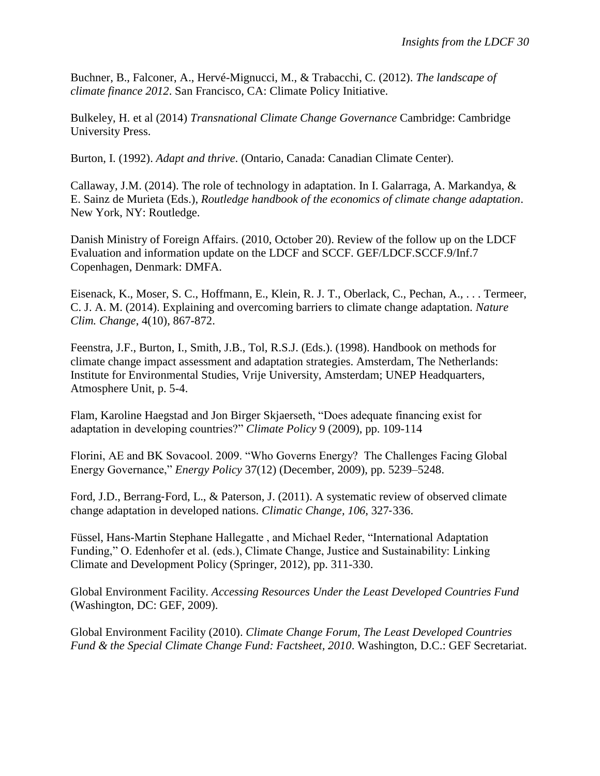Buchner, B., Falconer, A., Hervé-Mignucci, M., & Trabacchi, C. (2012). *The landscape of climate finance 2012*. San Francisco, CA: Climate Policy Initiative.

Bulkeley, H. et al (2014) *Transnational Climate Change Governance* Cambridge: Cambridge University Press.

Burton, I. (1992). *Adapt and thrive*. (Ontario, Canada: Canadian Climate Center).

Callaway, J.M. (2014). The role of technology in adaptation. In I. Galarraga, A. Markandya,  $\&$ E. Sainz de Murieta (Eds.), *Routledge handbook of the economics of climate change adaptation*. New York, NY: Routledge.

Danish Ministry of Foreign Affairs. (2010, October 20). Review of the follow up on the LDCF Evaluation and information update on the LDCF and SCCF. GEF/LDCF.SCCF.9/Inf.7 Copenhagen, Denmark: DMFA.

Eisenack, K., Moser, S. C., Hoffmann, E., Klein, R. J. T., Oberlack, C., Pechan, A., . . . Termeer, C. J. A. M. (2014). Explaining and overcoming barriers to climate change adaptation. *Nature Clim. Change*, 4(10), 867-872.

Feenstra, J.F., Burton, I., Smith, J.B., Tol, R.S.J. (Eds.). (1998). Handbook on methods for climate change impact assessment and adaptation strategies. Amsterdam, The Netherlands: Institute for Environmental Studies, Vrije University, Amsterdam; UNEP Headquarters, Atmosphere Unit, p. 5-4.

Flam, Karoline Haegstad and Jon Birger Skjaerseth, "Does adequate financing exist for adaptation in developing countries?" *Climate Policy* 9 (2009), pp. 109-114

Florini, AE and BK Sovacool. 2009. "Who Governs Energy? The Challenges Facing Global Energy Governance," *Energy Policy* 37(12) (December, 2009), pp. 5239–5248.

Ford, J.D., Berrang‐Ford, L., & Paterson, J. (2011). A systematic review of observed climate change adaptation in developed nations. *Climatic Change, 106*, 327‐336.

Füssel, Hans-Martin Stephane Hallegatte , and Michael Reder, "International Adaptation Funding," O. Edenhofer et al. (eds.), Climate Change, Justice and Sustainability: Linking Climate and Development Policy (Springer, 2012), pp. 311-330.

Global Environment Facility. *Accessing Resources Under the Least Developed Countries Fund*  (Washington, DC: GEF, 2009).

Global Environment Facility (2010). *Climate Change Forum, The Least Developed Countries Fund & the Special Climate Change Fund: Factsheet, 2010*. Washington, D.C.: GEF Secretariat.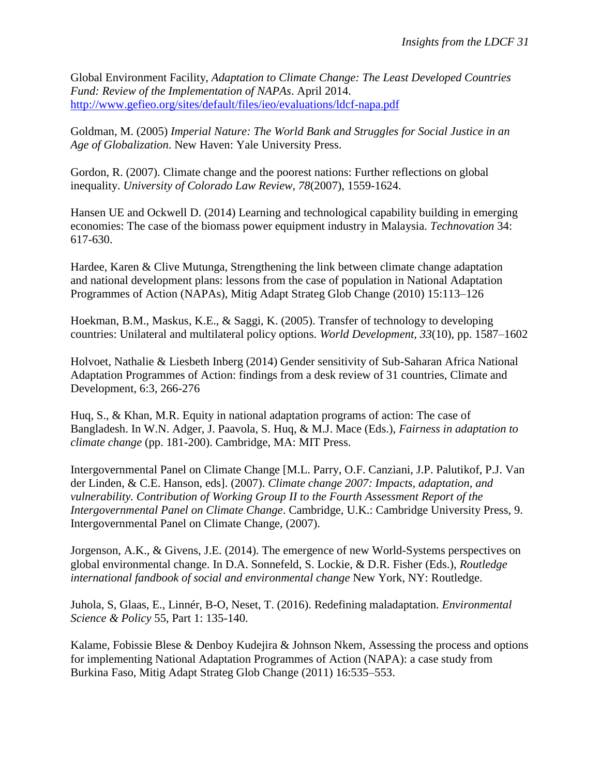Global Environment Facility, *Adaptation to Climate Change: The Least Developed Countries Fund: Review of the Implementation of NAPAs*. April 2014. <http://www.gefieo.org/sites/default/files/ieo/evaluations/ldcf-napa.pdf>

Goldman, M. (2005) *Imperial Nature: The World Bank and Struggles for Social Justice in an Age of Globalization*. New Haven: Yale University Press.

Gordon, R. (2007). Climate change and the poorest nations: Further reflections on global inequality. *University of Colorado Law Review, 78*(2007), 1559-1624.

Hansen UE and Ockwell D. (2014) Learning and technological capability building in emerging economies: The case of the biomass power equipment industry in Malaysia. *Technovation* 34: 617-630.

Hardee, Karen & Clive Mutunga, Strengthening the link between climate change adaptation and national development plans: lessons from the case of population in National Adaptation Programmes of Action (NAPAs), Mitig Adapt Strateg Glob Change (2010) 15:113–126

Hoekman, B.M., Maskus, K.E., & Saggi, K. (2005). Transfer of technology to developing countries: Unilateral and multilateral policy options. *World Development, 33*(10), pp. 1587–1602

Holvoet, Nathalie & Liesbeth Inberg (2014) Gender sensitivity of Sub-Saharan Africa National Adaptation Programmes of Action: findings from a desk review of 31 countries, Climate and Development, 6:3, 266-276

Huq, S., & Khan, M.R. Equity in national adaptation programs of action: The case of Bangladesh. In W.N. Adger, J. Paavola, S. Huq, & M.J. Mace (Eds.), *Fairness in adaptation to climate change* (pp. 181-200). Cambridge, MA: MIT Press.

Intergovernmental Panel on Climate Change [M.L. Parry, O.F. Canziani, J.P. Palutikof, P.J. Van der Linden, & C.E. Hanson, eds]. (2007). *Climate change 2007: Impacts, adaptation, and vulnerability. Contribution of Working Group II to the Fourth Assessment Report of the Intergovernmental Panel on Climate Change*. Cambridge, U.K.: Cambridge University Press, 9. Intergovernmental Panel on Climate Change, (2007).

Jorgenson, A.K., & Givens, J.E. (2014). The emergence of new World-Systems perspectives on global environmental change. In D.A. Sonnefeld, S. Lockie, & D.R. Fisher (Eds.), *Routledge international fandbook of social and environmental change* New York, NY: Routledge.

Juhola, S, Glaas, E., Linnér, B-O, Neset, T. (2016). Redefining maladaptation. *Environmental Science & Policy* 55, Part 1: 135-140.

Kalame, Fobissie Blese & Denboy Kudejira & Johnson Nkem, Assessing the process and options for implementing National Adaptation Programmes of Action (NAPA): a case study from Burkina Faso, Mitig Adapt Strateg Glob Change (2011) 16:535–553.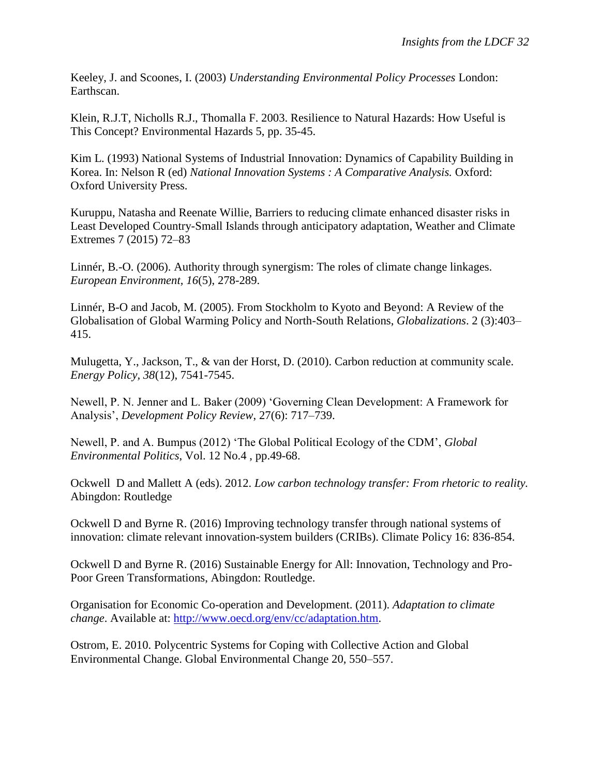Keeley, J. and Scoones, I. (2003) *Understanding Environmental Policy Processes* London: Earthscan.

Klein, R.J.T, Nicholls R.J., Thomalla F. 2003. Resilience to Natural Hazards: How Useful is This Concept? Environmental Hazards 5, pp. 35-45.

Kim L. (1993) National Systems of Industrial Innovation: Dynamics of Capability Building in Korea. In: Nelson R (ed) *National Innovation Systems : A Comparative Analysis.* Oxford: Oxford University Press.

Kuruppu, Natasha and Reenate Willie, Barriers to reducing climate enhanced disaster risks in Least Developed Country-Small Islands through anticipatory adaptation, Weather and Climate Extremes 7 (2015) 72–83

Linnér, B.-O. (2006). Authority through synergism: The roles of climate change linkages. *European Environment, 16*(5), 278-289.

Linnér, B-O and Jacob, M. (2005). From Stockholm to Kyoto and Beyond: A Review of the Globalisation of Global Warming Policy and North-South Relations, *Globalizations*. 2 (3):403– 415.

Mulugetta, Y., Jackson, T., & van der Horst, D. (2010). Carbon reduction at community scale. *Energy Policy, 38*(12), 7541-7545.

Newell, P. N. Jenner and L. Baker (2009) 'Governing Clean Development: A Framework for Analysis', *Development Policy Review*, 27(6): 717–739.

Newell, P. and A. Bumpus (2012) 'The Global Political Ecology of the CDM', *Global Environmental Politics*, Vol. 12 No.4 , pp.49-68.

Ockwell D and Mallett A (eds). 2012. *Low carbon technology transfer: From rhetoric to reality.* Abingdon: Routledge

Ockwell D and Byrne R. (2016) Improving technology transfer through national systems of innovation: climate relevant innovation-system builders (CRIBs). Climate Policy 16: 836-854.

Ockwell D and Byrne R. (2016) Sustainable Energy for All: Innovation, Technology and Pro-Poor Green Transformations, Abingdon: Routledge.

Organisation for Economic Co-operation and Development. (2011). *Adaptation to climate change*. Available at: [http://www.oecd.org/env/cc/adaptation.htm.](http://www.oecd.org/env/cc/adaptation.htm)

Ostrom, E. 2010. Polycentric Systems for Coping with Collective Action and Global Environmental Change. Global Environmental Change 20, 550–557.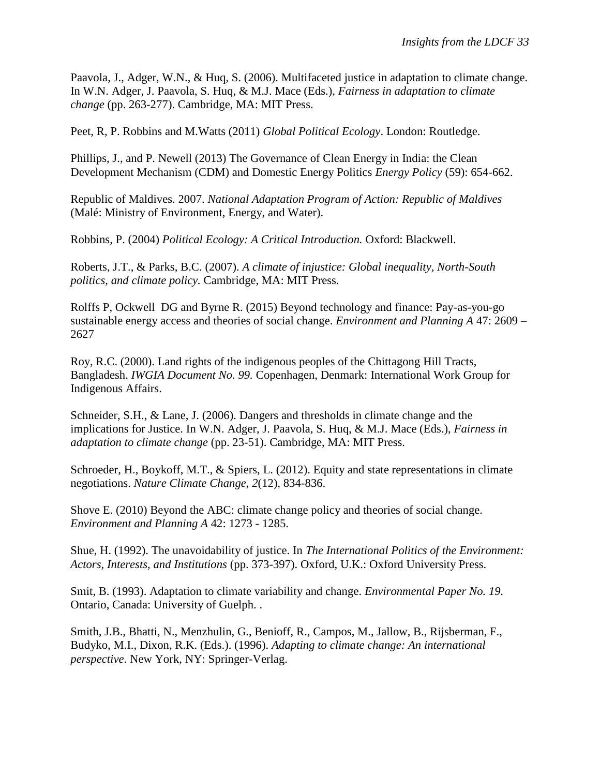Paavola, J., Adger, W.N., & Huq, S. (2006). Multifaceted justice in adaptation to climate change. In W.N. Adger, J. Paavola, S. Huq, & M.J. Mace (Eds.), *Fairness in adaptation to climate change* (pp. 263-277). Cambridge, MA: MIT Press.

Peet, R, P. Robbins and M.Watts (2011) *Global Political Ecology*. London: Routledge.

Phillips, J., and P. Newell (2013) The Governance of Clean Energy in India: the Clean Development Mechanism (CDM) and Domestic Energy Politics *Energy Policy* (59): 654-662.

Republic of Maldives. 2007. *National Adaptation Program of Action: Republic of Maldives*  (Malé: Ministry of Environment, Energy, and Water).

Robbins, P. (2004) *Political Ecology: A Critical Introduction.* Oxford: Blackwell.

Roberts, J.T., & Parks, B.C. (2007). *A climate of injustice: Global inequality, North-South politics, and climate policy.* Cambridge, MA: MIT Press.

Rolffs P, Ockwell DG and Byrne R. (2015) Beyond technology and finance: Pay-as-you-go sustainable energy access and theories of social change. *Environment and Planning A* 47: 2609 – 2627

Roy, R.C. (2000). Land rights of the indigenous peoples of the Chittagong Hill Tracts, Bangladesh. *IWGIA Document No. 99.* Copenhagen, Denmark: International Work Group for Indigenous Affairs.

Schneider, S.H., & Lane, J. (2006). Dangers and thresholds in climate change and the implications for Justice. In W.N. Adger, J. Paavola, S. Huq, & M.J. Mace (Eds.), *Fairness in adaptation to climate change* (pp. 23-51). Cambridge, MA: MIT Press.

Schroeder, H., Boykoff, M.T., & Spiers, L. (2012). Equity and state representations in climate negotiations. *Nature Climate Change, 2*(12), 834-836.

Shove E. (2010) Beyond the ABC: climate change policy and theories of social change. *Environment and Planning A* 42: 1273 - 1285.

Shue, H. (1992). The unavoidability of justice. In *The International Politics of the Environment: Actors, Interests, and Institutions* (pp. 373-397). Oxford, U.K.: Oxford University Press.

Smit, B. (1993). Adaptation to climate variability and change. *Environmental Paper No. 19.* Ontario, Canada: University of Guelph. .

Smith, J.B., Bhatti, N., Menzhulin, G., Benioff, R., Campos, M., Jallow, B., Rijsberman, F., Budyko, M.I., Dixon, R.K. (Eds.). (1996). *Adapting to climate change: An international perspective*. New York, NY: Springer-Verlag.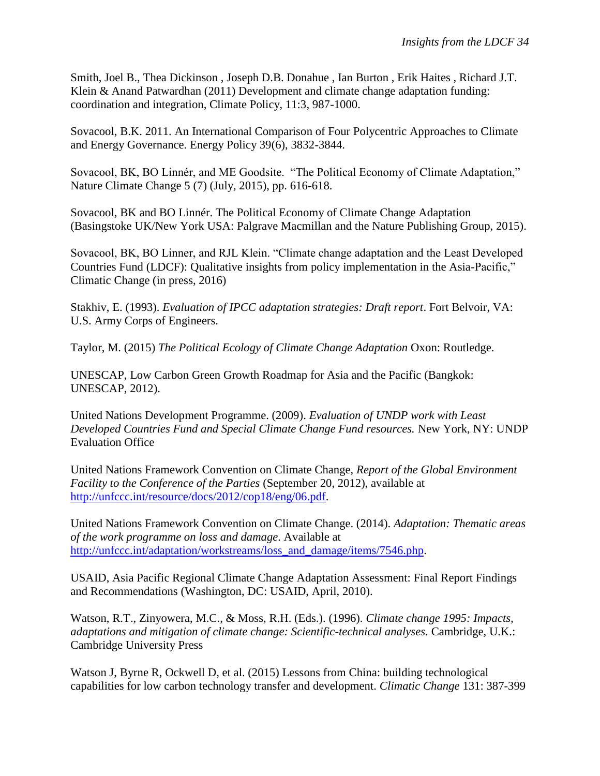Smith, Joel B., Thea Dickinson , Joseph D.B. Donahue , Ian Burton , Erik Haites , Richard J.T. Klein & Anand Patwardhan (2011) Development and climate change adaptation funding: coordination and integration, Climate Policy, 11:3, 987-1000.

Sovacool, B.K. 2011. An International Comparison of Four Polycentric Approaches to Climate and Energy Governance. Energy Policy 39(6), 3832-3844.

Sovacool, BK, BO Linnér, and ME Goodsite. "The Political Economy of Climate Adaptation," Nature Climate Change 5 (7) (July, 2015), pp. 616-618.

Sovacool, BK and BO Linnér. The Political Economy of Climate Change Adaptation (Basingstoke UK/New York USA: Palgrave Macmillan and the Nature Publishing Group, 2015).

Sovacool, BK, BO Linner, and RJL Klein. "Climate change adaptation and the Least Developed Countries Fund (LDCF): Qualitative insights from policy implementation in the Asia-Pacific," Climatic Change (in press, 2016)

Stakhiv, E. (1993). *Evaluation of IPCC adaptation strategies: Draft report*. Fort Belvoir, VA: U.S. Army Corps of Engineers.

Taylor, M. (2015) *The Political Ecology of Climate Change Adaptation* Oxon: Routledge.

UNESCAP, Low Carbon Green Growth Roadmap for Asia and the Pacific (Bangkok: UNESCAP, 2012).

United Nations Development Programme. (2009). *Evaluation of UNDP work with Least Developed Countries Fund and Special Climate Change Fund resources.* New York, NY: UNDP Evaluation Office

United Nations Framework Convention on Climate Change, *Report of the Global Environment Facility to the Conference of the Parties* (September 20, 2012), available at [http://unfccc.int/resource/docs/2012/cop18/eng/06.pdf.](http://unfccc.int/resource/docs/2012/cop18/eng/06.pdf)

United Nations Framework Convention on Climate Change. (2014). *Adaptation: Thematic areas of the work programme on loss and damage*. Available at [http://unfccc.int/adaptation/workstreams/loss\\_and\\_damage/items/7546.php.](http://unfccc.int/adaptation/workstreams/loss_and_damage/items/7546.php)

USAID, Asia Pacific Regional Climate Change Adaptation Assessment: Final Report Findings and Recommendations (Washington, DC: USAID, April, 2010).

Watson, R.T., Zinyowera, M.C., & Moss, R.H. (Eds.). (1996). *Climate change 1995: Impacts, adaptations and mitigation of climate change: Scientific-technical analyses.* Cambridge, U.K.: Cambridge University Press

Watson J, Byrne R, Ockwell D, et al. (2015) Lessons from China: building technological capabilities for low carbon technology transfer and development. *Climatic Change* 131: 387-399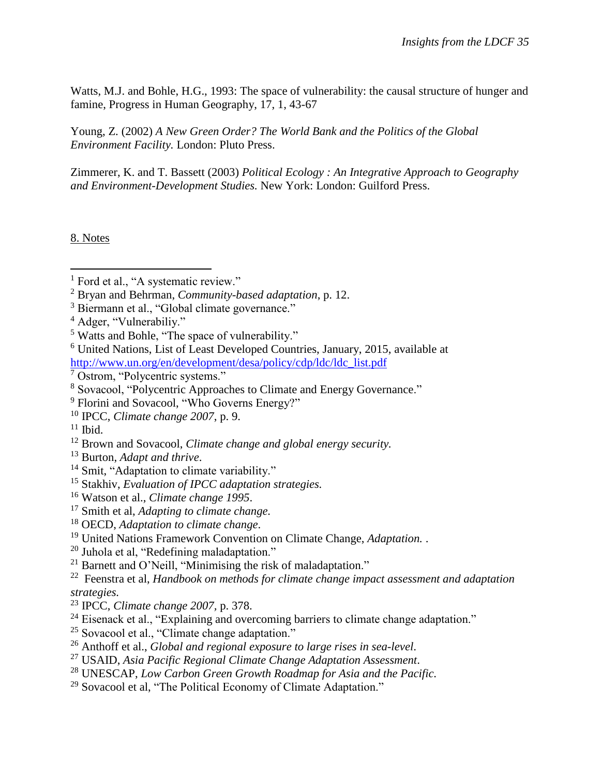Watts, M.J. and Bohle, H.G., 1993: The space of vulnerability: the causal structure of hunger and famine, Progress in Human Geography, 17, 1, 43-67

Young, Z. (2002) *A New Green Order? The World Bank and the Politics of the Global Environment Facility.* London: Pluto Press.

Zimmerer, K. and T. Bassett (2003) *Political Ecology : An Integrative Approach to Geography and Environment-Development Studies.* New York: London: Guilford Press.

8. Notes

 $\overline{a}$ 

- <sup>13</sup> Burton, *Adapt and thrive*.
- <sup>14</sup> Smit, "Adaptation to climate variability."
- <sup>15</sup> Stakhiv, *Evaluation of IPCC adaptation strategies.*
- <sup>16</sup> Watson et al., *Climate change 1995*.
- <sup>17</sup> Smith et al, *Adapting to climate change.*
- <sup>18</sup> OECD, *Adaptation to climate change*.
- <sup>19</sup> United Nations Framework Convention on Climate Change, *Adaptation.* .
- <sup>20</sup> Juhola et al, "Redefining maladaptation."
- <sup>21</sup> Barnett and O'Neill, "Minimising the risk of maladaptation."

22 Feenstra et al, *Handbook on methods for climate change impact assessment and adaptation strategies.*

- <sup>23</sup> IPCC, *Climate change 2007,* p. 378.
- <sup>24</sup> Eisenack et al., "Explaining and overcoming barriers to climate change adaptation."
- <sup>25</sup> Sovacool et al., "Climate change adaptation."
- <sup>26</sup> Anthoff et al., *Global and regional exposure to large rises in sea-level*.
- <sup>27</sup> USAID, *Asia Pacific Regional Climate Change Adaptation Assessment*.
- <sup>28</sup> UNESCAP, *Low Carbon Green Growth Roadmap for Asia and the Pacific.*
- $29$  Sovacool et al, "The Political Economy of Climate Adaptation."

<sup>&</sup>lt;sup>1</sup> Ford et al., "A systematic review."

<sup>2</sup> Bryan and Behrman, *Community-based adaptation*, p. 12.

<sup>&</sup>lt;sup>3</sup> Biermann et al., "Global climate governance."

<sup>4</sup> Adger, "Vulnerabiliy."

<sup>5</sup> Watts and Bohle, "The space of vulnerability."

<sup>6</sup> United Nations, List of Least Developed Countries, January, 2015, available at [http://www.un.org/en/development/desa/policy/cdp/ldc/ldc\\_list.pdf](http://www.un.org/en/development/desa/policy/cdp/ldc/ldc_list.pdf)

<sup>7</sup> Ostrom, "Polycentric systems."

<sup>8</sup> Sovacool, "Polycentric Approaches to Climate and Energy Governance."

<sup>&</sup>lt;sup>9</sup> Florini and Sovacool, "Who Governs Energy?"

<sup>10</sup> IPCC, *Climate change 2007*, p. 9.

 $11$  Ibid.

<sup>12</sup> Brown and Sovacool, *Climate change and global energy security.*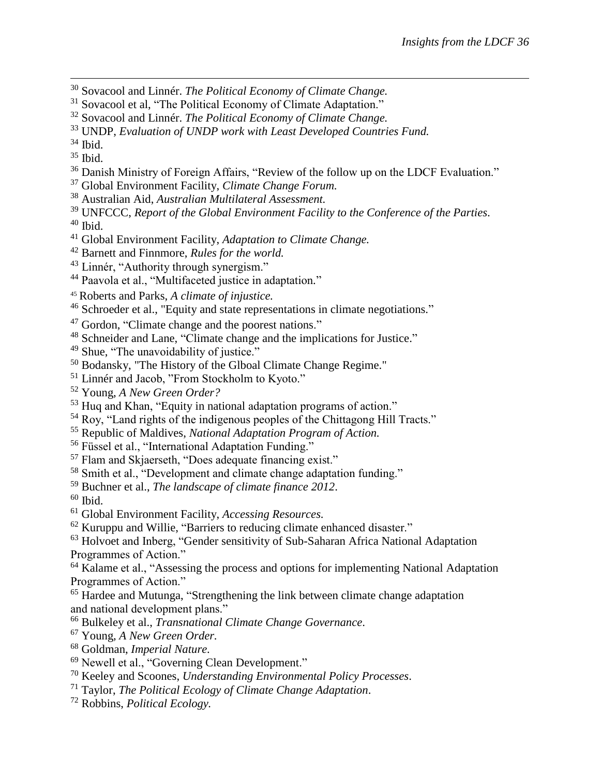- Sovacool and Linnér. *The Political Economy of Climate Change.*
- <sup>31</sup> Sovacool et al, "The Political Economy of Climate Adaptation."
- Sovacool and Linnér. *The Political Economy of Climate Change.*
- UNDP, *Evaluation of UNDP work with Least Developed Countries Fund.*
- Ibid.

 $\overline{a}$ 

- Ibid.
- Danish Ministry of Foreign Affairs, "Review of the follow up on the LDCF Evaluation."
- Global Environment Facility, *Climate Change Forum.*
- Australian Aid, *Australian Multilateral Assessment.*
- UNFCCC, *Report of the Global Environment Facility to the Conference of the Parties*. Ibid.
- Global Environment Facility, *Adaptation to Climate Change.*
- Barnett and Finnmore, *Rules for the world.*
- Linnér, "Authority through synergism."
- Paavola et al., "Multifaceted justice in adaptation*.*"
- Roberts and Parks, *A climate of injustice.*
- Schroeder et al., "Equity and state representations in climate negotiations."
- Gordon, "Climate change and the poorest nations."
- Schneider and Lane, "Climate change and the implications for Justice."
- <sup>49</sup> Shue, "The unavoidability of justice."
- Bodansky, "The History of the Glboal Climate Change Regime."
- Linnér and Jacob, "From Stockholm to Kyoto."
- Young, *A New Green Order?*
- Huq and Khan, "Equity in national adaptation programs of action."
- Roy, "Land rights of the indigenous peoples of the Chittagong Hill Tracts."
- Republic of Maldives, *National Adaptation Program of Action.*
- Füssel et al., "International Adaptation Funding."
- Flam and Skjaerseth, "Does adequate financing exist."
- Smith et al., "Development and climate change adaptation funding."
- Buchner et al., *The landscape of climate finance 2012*.
- Ibid.
- Global Environment Facility, *Accessing Resources.*
- Kuruppu and Willie, "Barriers to reducing climate enhanced disaster."
- <sup>63</sup> Holvoet and Inberg, "Gender sensitivity of Sub-Saharan Africa National Adaptation Programmes of Action."
- <sup>64</sup> Kalame et al., "Assessing the process and options for implementing National Adaptation Programmes of Action."
- <sup>65</sup> Hardee and Mutunga, "Strengthening the link between climate change adaptation and national development plans."
- Bulkeley et al., *Transnational Climate Change Governance*.
- Young, *A New Green Order.*
- Goldman, *Imperial Nature.*
- Newell et al., "Governing Clean Development."
- Keeley and Scoones, *Understanding Environmental Policy Processes*.
- Taylor, *The Political Ecology of Climate Change Adaptation*.
- Robbins, *Political Ecology.*